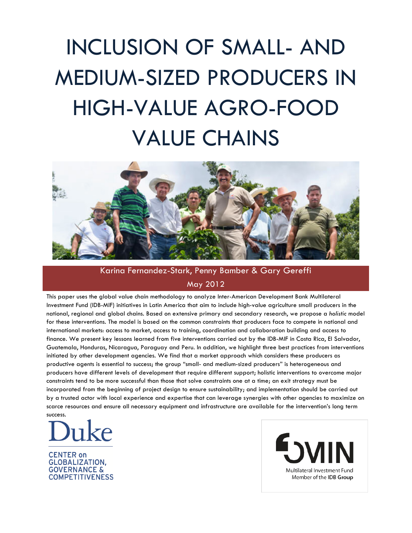# INCLUSION OF SMALL- AND MEDIUM-SIZED PRODUCERS IN HIGH-VALUE AGRO-FOOD VALUE CHAINS



# Karina Fernandez-Stark, Penny Bamber & Gary Gereffi May 2012

This paper uses the global value chain methodology to analyze Inter-American Development Bank Multilateral Investment Fund (IDB-MIF) initiatives in Latin America that aim to include high-value agriculture small producers in the national, regional and global chains. Based on extensive primary and secondary research, we propose a *holistic* model for these interventions. The model is based on the common constraints that producers face to compete in national and international markets: access to market, access to training, coordination and collaboration building and access to finance. We present key lessons learned from five interventions carried out by the IDB-MIF in Costa Rica, El Salvador, Guatemala, Honduras, Nicaragua, Paraguay and Peru. In addition, we highlight three best practices from interventions initiated by other development agencies. We find that a market approach which considers these producers as productive agents is essential to success; the group "small- and medium-sized producers" is heterogeneous and producers have different levels of development that require different support; holistic interventions to overcome major constraints tend to be more successful than those that solve constraints one at a time; an exit strategy must be incorporated from the beginning of project design to ensure sustainability; and implementation should be carried out by a trusted actor with local experience and expertise that can leverage synergies with other agencies to maximize on scarce resources and ensure all necessary equipment and infrastructure are available for the intervention's long term success.



**CENTER on GLOBALIZATION. GOVERNANCE & COMPETITIVENESS**  Multilateral Investment Fund Member of the IDB Group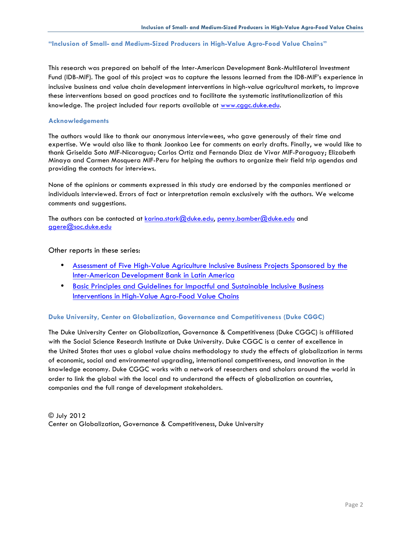#### **"Inclusion of Small- and Medium-Sized Producers in High-Value Agro-Food Value Chains"**

This research was prepared on behalf of the Inter-American Development Bank-Multilateral Investment Fund (IDB-MIF). The goal of this project was to capture the lessons learned from the IDB-MIF's experience in inclusive business and value chain development interventions in high-value agricultural markets, to improve these interventions based on good practices and to facilitate the systematic institutionalization of this knowledge. The project included four reports available at www.cggc.duke.edu.

#### **Acknowledgements**

The authors would like to thank our anonymous interviewees, who gave generously of their time and expertise. We would also like to thank Joonkoo Lee for comments on early drafts. Finally, we would like to thank Griselda Soto MIF-Nicaragua; Carlos Ortiz and Fernando Diaz de Vivar MIF-Paraguay; Elizabeth Minaya and Carmen Mosquera MIF-Peru for helping the authors to organize their field trip agendas and providing the contacts for interviews.

None of the opinions or comments expressed in this study are endorsed by the companies mentioned or individuals interviewed. Errors of fact or interpretation remain exclusively with the authors. We welcome comments and suggestions.

The authors can be contacted at karina.stark@duke.edu, penny.bamber@duke.edu and ggere@soc.duke.edu

#### Other reports in these series:

- Assessment of Five High-Value Agriculture Inclusive Business Projects Sponsored by the Inter-American Development Bank in Latin America
- Basic Principles and Guidelines for Impactful and Sustainable Inclusive Business Interventions in High-Value Agro-Food Value Chains

#### **Duke University, Center on Globalization, Governance and Competitiveness (Duke CGGC)**

The Duke University Center on Globalization, Governance & Competitiveness (Duke CGGC) is affiliated with the Social Science Research Institute at Duke University. Duke CGGC is a center of excellence in the United States that uses a global value chains methodology to study the effects of globalization in terms of economic, social and environmental upgrading, international competitiveness, and innovation in the knowledge economy. Duke CGGC works with a network of researchers and scholars around the world in order to link the global with the local and to understand the effects of globalization on countries, companies and the full range of development stakeholders.

© July 2012 Center on Globalization, Governance & Competitiveness, Duke University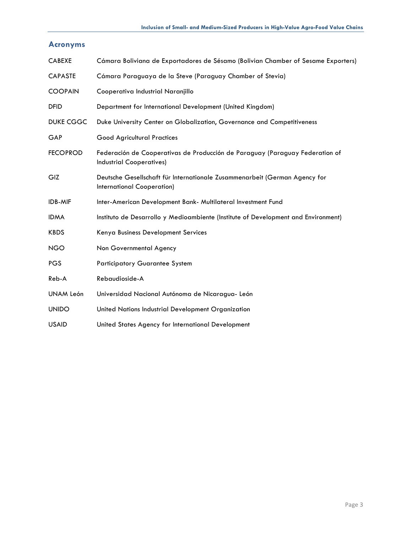# **Acronyms**

| <b>CABEXE</b>   | Cámara Boliviana de Exportadores de Sésamo (Bolivian Chamber of Sesame Exporters)                               |
|-----------------|-----------------------------------------------------------------------------------------------------------------|
| <b>CAPASTE</b>  | Cámara Paraguaya de la Steve (Paraguay Chamber of Stevia)                                                       |
| <b>COOPAIN</b>  | Cooperativa Industrial Naranjillo                                                                               |
| <b>DFID</b>     | Department for International Development (United Kingdom)                                                       |
| DUKE CGGC       | Duke University Center on Globalization, Governance and Competitiveness                                         |
| GAP             | <b>Good Agricultural Practices</b>                                                                              |
| <b>FECOPROD</b> | Federación de Cooperativas de Producción de Paraguay (Paraguay Federation of<br><b>Industrial Cooperatives)</b> |
| GIZ             | Deutsche Gesellschaft für Internationale Zusammenarbeit (German Agency for<br>International Cooperation)        |
| <b>IDB-MIF</b>  | Inter-American Development Bank- Multilateral Investment Fund                                                   |
| <b>IDMA</b>     | Instituto de Desarrollo y Medioambiente (Institute of Development and Environment)                              |
| <b>KBDS</b>     | Kenya Business Development Services                                                                             |
| <b>NGO</b>      | Non Governmental Agency                                                                                         |
| <b>PGS</b>      | <b>Participatory Guarantee System</b>                                                                           |
| Reb-A           | Rebaudioside-A                                                                                                  |
| UNAM León       | Universidad Nacional Autónoma de Nicaragua- León                                                                |
| <b>UNIDO</b>    | United Nations Industrial Development Organization                                                              |
| <b>USAID</b>    | United States Agency for International Development                                                              |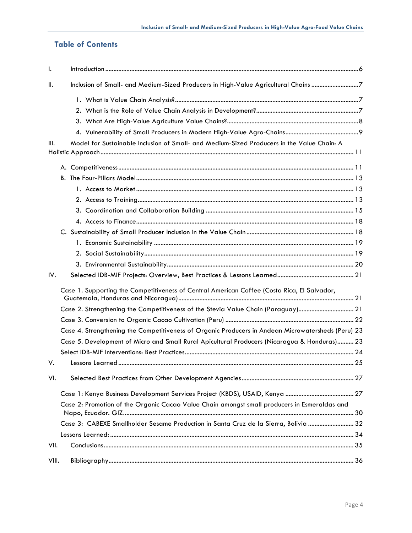# **Table of Contents**

| $\mathbf{I}$ . |                                                                                                    |  |
|----------------|----------------------------------------------------------------------------------------------------|--|
| $\parallel$ .  | Inclusion of Small- and Medium-Sized Producers in High-Value Agricultural Chains 7                 |  |
|                |                                                                                                    |  |
|                |                                                                                                    |  |
|                |                                                                                                    |  |
|                |                                                                                                    |  |
| Ш.             | Model for Sustainable Inclusion of Small- and Medium-Sized Producers in the Value Chain: A         |  |
|                |                                                                                                    |  |
|                |                                                                                                    |  |
|                |                                                                                                    |  |
|                |                                                                                                    |  |
|                |                                                                                                    |  |
|                |                                                                                                    |  |
|                |                                                                                                    |  |
|                |                                                                                                    |  |
|                |                                                                                                    |  |
|                |                                                                                                    |  |
|                |                                                                                                    |  |
| IV.            |                                                                                                    |  |
|                | Case 1. Supporting the Competitiveness of Central American Coffee (Costa Rica, El Salvador,        |  |
|                | Case 2. Strengthening the Competitiveness of the Stevia Value Chain (Paraguay) 21                  |  |
|                |                                                                                                    |  |
|                | Case 4. Strengthening the Competitiveness of Organic Producers in Andean Microwatersheds (Peru) 23 |  |
|                | Case 5. Development of Micro and Small Rural Apicultural Producers (Nicaragua & Honduras) 23       |  |
|                |                                                                                                    |  |
| V.             |                                                                                                    |  |
| VI.            |                                                                                                    |  |
|                |                                                                                                    |  |
|                | Case 2: Promotion of the Organic Cacao Value Chain amongst small producers in Esmeraldas and       |  |
|                | Case 3: CABEXE Smallholder Sesame Production in Santa Cruz de la Sierra, Bolivia  32               |  |
|                |                                                                                                    |  |
| VII.           |                                                                                                    |  |
| VIII.          |                                                                                                    |  |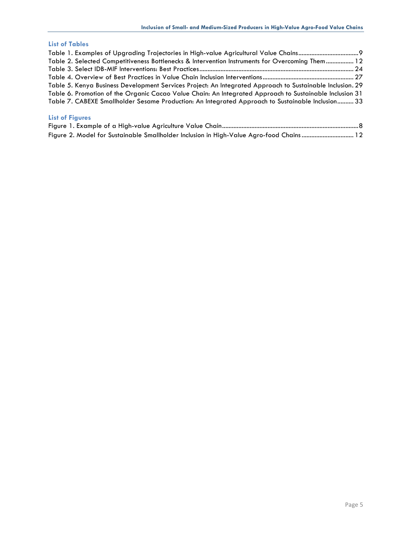## **List of Tables**

| Table 2. Selected Competitiveness Bottlenecks & Intervention Instruments for Overcoming Them 12           |  |
|-----------------------------------------------------------------------------------------------------------|--|
|                                                                                                           |  |
|                                                                                                           |  |
| Table 5. Kenya Business Development Services Project: An Integrated Approach to Sustainable Inclusion. 29 |  |
| Table 6. Promotion of the Organic Cacao Value Chain: An Integrated Approach to Sustainable Inclusion 31   |  |
| Table 7. CABEXE Smallholder Sesame Production: An Integrated Approach to Sustainable Inclusion 33         |  |
|                                                                                                           |  |

# **List of Figures**

|  | Figure 2. Model for Sustainable Smallholder Inclusion in High-Value Agro-food Chains 12 |  |
|--|-----------------------------------------------------------------------------------------|--|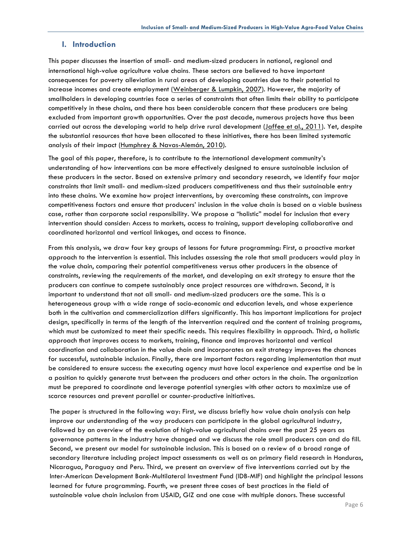## **I. Introduction**

This paper discusses the insertion of small- and medium-sized producers in national, regional and international high-value agriculture value chains. These sectors are believed to have important consequences for poverty alleviation in rural areas of developing countries due to their potential to increase incomes and create employment (Weinberger & Lumpkin, 2007). However, the majority of smallholders in developing countries face a series of constraints that often limits their ability to participate competitively in these chains, and there has been considerable concern that these producers are being excluded from important growth opportunities. Over the past decade, numerous projects have thus been carried out across the developing world to help drive rural development (Jaffee et al., 2011). Yet, despite the substantial resources that have been allocated to these initiatives, there has been limited systematic analysis of their impact (Humphrey & Navas-Alemán, 2010).

The goal of this paper, therefore, is to contribute to the international development community's understanding of how interventions can be more effectively designed to ensure sustainable inclusion of these producers in the sector. Based on extensive primary and secondary research, we identify four major constraints that limit small- and medium-sized producers competitiveness and thus their sustainable entry into these chains. We examine how project interventions, by overcoming these constraints, can improve competitiveness factors and ensure that producers' inclusion in the value chain is based on a viable business case, rather than corporate social responsibility. We propose a "holistic" model for inclusion that every intervention should consider: Access to markets, access to training, support developing collaborative and coordinated horizontal and vertical linkages, and access to finance.

From this analysis, we draw four key groups of lessons for future programming: First, a proactive market approach to the intervention is essential. This includes assessing the role that small producers would play in the value chain, comparing their potential competitiveness versus other producers in the absence of constraints, reviewing the requirements of the market, and developing an exit strategy to ensure that the producers can continue to compete sustainably once project resources are withdrawn. Second, it is important to understand that not all small- and medium-sized producers are the same. This is a heterogeneous group with a wide range of socio-economic and education levels, and whose experience both in the cultivation and commercialization differs significantly. This has important implications for project design, specifically in terms of the length of the intervention required and the content of training programs, which must be customized to meet their specific needs. This requires flexibility in approach. Third, a holistic approach that improves access to markets, training, finance and improves horizontal and vertical coordination and collaboration in the value chain and incorporates an exit strategy improves the chances for successful, sustainable inclusion. Finally, there are important factors regarding implementation that must be considered to ensure success: the executing agency must have local experience and expertise and be in a position to quickly generate trust between the producers and other actors in the chain. The organization must be prepared to coordinate and leverage potential synergies with other actors to maximize use of scarce resources and prevent parallel or counter-productive initiatives.

The paper is structured in the following way: First, we discuss briefly how value chain analysis can help improve our understanding of the way producers can participate in the global agricultural industry, followed by an overview of the evolution of high-value agricultural chains over the past 25 years as governance patterns in the industry have changed and we discuss the role small producers can and do fill. Second, we present our model for sustainable inclusion. This is based on a review of a broad range of secondary literature including project impact assessments as well as on primary field research in Honduras, Nicaragua, Paraguay and Peru. Third, we present an overview of five interventions carried out by the Inter-American Development Bank-Multilateral Investment Fund (IDB-MIF) and highlight the principal lessons learned for future programming. Fourth, we present three cases of best practices in the field of sustainable value chain inclusion from USAID, GIZ and one case with multiple donors. These successful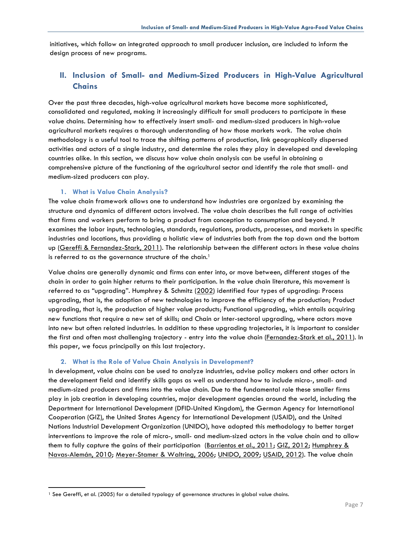initiatives, which follow an integrated approach to small producer inclusion, are included to inform the design process of new programs.

## **II. Inclusion of Small- and Medium-Sized Producers in High-Value Agricultural Chains**

Over the past three decades, high-value agricultural markets have become more sophisticated, consolidated and regulated, making it increasingly difficult for small producers to participate in these value chains. Determining how to effectively insert small- and medium-sized producers in high-value agricultural markets requires a thorough understanding of how those markets work. The value chain methodology is a useful tool to trace the shifting patterns of production, link geographically dispersed activities and actors of a single industry, and determine the roles they play in developed and developing countries alike. In this section, we discuss how value chain analysis can be useful in obtaining a comprehensive picture of the functioning of the agricultural sector and identify the role that small- and medium-sized producers can play.

#### **1. What is Value Chain Analysis?**

The value chain framework allows one to understand how industries are organized by examining the structure and dynamics of different actors involved. The value chain describes the full range of activities that firms and workers perform to bring a product from conception to consumption and beyond. It examines the labor inputs, technologies, standards, regulations, products, processes, and markets in specific industries and locations, thus providing a holistic view of industries both from the top down and the bottom up (Gereffi & Fernandez-Stark, 2011). The relationship between the different actors in these value chains is referred to as the governance structure of the chain.<sup>1</sup>

Value chains are generally dynamic and firms can enter into, or move between, different stages of the chain in order to gain higher returns to their participation. In the value chain literature, this movement is referred to as "upgrading". Humphrey & Schmitz (2002) identified four types of upgrading: Process upgrading, that is, the adoption of new technologies to improve the efficiency of the production; Product upgrading, that is, the production of higher value products; Functional upgrading, which entails acquiring new functions that require a new set of skills; and Chain or Inter-sectoral upgrading, where actors move into new but often related industries. In addition to these upgrading trajectories, it is important to consider the first and often most challenging trajectory - entry into the value chain (Fernandez-Stark et al., 2011). In this paper, we focus principally on this last trajectory.

#### **2. What is the Role of Value Chain Analysis in Development?**

In development, value chains can be used to analyze industries, advise policy makers and other actors in the development field and identify skills gaps as well as understand how to include micro-, small- and medium-sized producers and firms into the value chain. Due to the fundamental role these smaller firms play in job creation in developing countries, major development agencies around the world, including the Department for International Development (DFID-United Kingdom), the German Agency for International Cooperation (GIZ), the United States Agency for International Development (USAID), and the United Nations Industrial Development Organization (UNIDO), have adopted this methodology to better target interventions to improve the role of micro-, small- and medium-sized actors in the value chain and to allow them to fully capture the gains of their participation (Barrientos et al., 2011; GIZ, 2012; Humphrey & Navas-Alemán, 2010; Meyer-Stamer & Waltring, 2006; UNIDO, 2009; USAID, 2012). The value chain

<sup>&</sup>lt;sup>1</sup> See Gereffi, et al. (2005) for a detailed typology of governance structures in global value chains.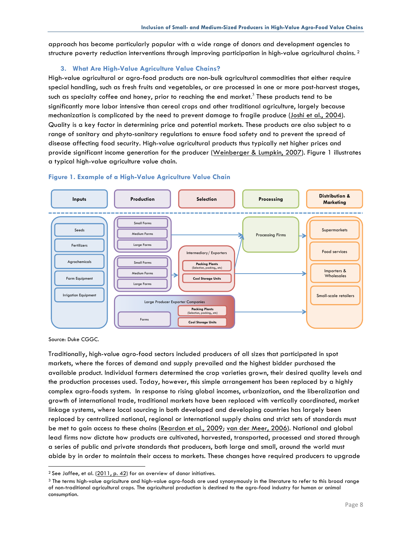approach has become particularly popular with a wide range of donors and development agencies to structure poverty reduction interventions through improving participation in high-value agricultural chains. <sup>2</sup>

## **3. What Are High-Value Agriculture Value Chains?**

High-value agricultural or agro-food products are non-bulk agricultural commodities that either require special handling, such as fresh fruits and vegetables, or are processed in one or more post-harvest stages, such as specialty coffee and honey, prior to reaching the end market.<sup>3</sup> These products tend to be significantly more labor intensive than cereal crops and other traditional agriculture, largely because mechanization is complicated by the need to prevent damage to fragile produce (Joshi et al., 2004). Quality is a key factor in determining price and potential markets. These products are also subject to a range of sanitary and phyto-sanitary regulations to ensure food safety and to prevent the spread of disease affecting food security. High-value agricultural products thus typically net higher prices and provide significant income generation for the producer (Weinberger & Lumpkin, 2007). Figure 1 illustrates a typical high-value agriculture value chain.



#### **Figure 1. Example of a High-Value Agriculture Value Chain**

Source: Duke CGGC.

Traditionally, high-value agro-food sectors included producers of all sizes that participated in spot markets, where the forces of demand and supply prevailed and the highest bidder purchased the available product. Individual farmers determined the crop varieties grown, their desired quality levels and the production processes used. Today, however, this simple arrangement has been replaced by a highly complex agro-foods system. In response to rising global incomes, urbanization, and the liberalization and growth of international trade, traditional markets have been replaced with vertically coordinated, market linkage systems, where local sourcing in both developed and developing countries has largely been replaced by centralized national, regional or international supply chains and strict sets of standards must be met to gain access to these chains (Reardon et al., 2009; van der Meer, 2006). National and global lead firms now dictate how products are cultivated, harvested, transported, processed and stored through a series of public and private standards that producers, both large and small, around the world must abide by in order to maintain their access to markets. These changes have required producers to upgrade

<sup>&</sup>lt;sup>2</sup> See Jaffee, et al. (2011, p. 42) for an overview of donor initiatives.

<sup>3</sup> The terms high-value agriculture and high-value agro-foods are used synonymously in the literature to refer to this broad range of non-traditional agricultural crops. The agricultural production is destined to the agro-food industry for human or animal consumption.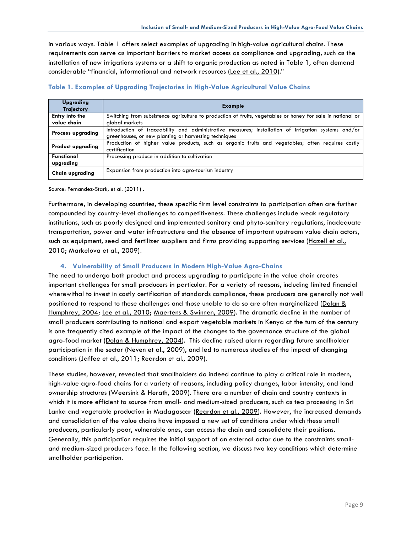in various ways. Table 1 offers select examples of upgrading in high-value agricultural chains. These requirements can serve as important barriers to market access as compliance and upgrading, such as the installation of new irrigations systems or a shift to organic production as noted in Table 1, often demand considerable "financial, informational and network resources (Lee et al., 2010)."

| Upgrading<br><b>Trajectory</b>       | <b>Example</b>                                                                                                                                               |  |  |  |  |  |
|--------------------------------------|--------------------------------------------------------------------------------------------------------------------------------------------------------------|--|--|--|--|--|
| <b>Entry into the</b><br>value chain | Switching from subsistence agriculture to production of fruits, vegetables or honey for sale in national or<br>global markets                                |  |  |  |  |  |
| <b>Process upgrading</b>             | Introduction of traceability and administrative measures; installation of irrigation systems and/or<br>greenhouses, or new planting or harvesting techniques |  |  |  |  |  |
| <b>Product upgrading</b>             | Production of higher value products, such as organic fruits and vegetables; often requires costly<br>certification                                           |  |  |  |  |  |
| <b>Functional</b><br>upgrading       | Processing produce in addition to cultivation                                                                                                                |  |  |  |  |  |
| <b>Chain upgrading</b>               | Expansion from production into agro-tourism industry                                                                                                         |  |  |  |  |  |

#### **Table 1. Examples of Upgrading Trajectories in High-Value Agricultural Value Chains**

Source: Fernandez-Stark, et al. (2011) .

Furthermore, in developing countries, these specific firm level constraints to participation often are further compounded by country-level challenges to competitiveness. These challenges include weak regulatory institutions, such as poorly designed and implemented sanitary and phyto-sanitary regulations, inadequate transportation, power and water infrastructure and the absence of important upstream value chain actors, such as equipment, seed and fertilizer suppliers and firms providing supporting services (Hazell et al., 2010; Markelova et al., 2009).

### **4. Vulnerability of Small Producers in Modern High-Value Agro-Chains**

The need to undergo both product and process upgrading to participate in the value chain creates important challenges for small producers in particular. For a variety of reasons, including limited financial wherewithal to invest in costly certification of standards compliance, these producers are generally not well positioned to respond to these challenges and those unable to do so are often marginalized (Dolan & Humphrey, 2004; Lee et al., 2010; Maertens & Swinnen, 2009). The dramatic decline in the number of small producers contributing to national and export vegetable markets in Kenya at the turn of the century is one frequently cited example of the impact of the changes to the governance structure of the global agro-food market (Dolan & Humphrey, 2004). This decline raised alarm regarding future smallholder participation in the sector (Neven et al., 2009), and led to numerous studies of the impact of changing conditions (Jaffee et al., 2011; Reardon et al., 2009).

These studies, however, revealed that smallholders do indeed continue to play a critical role in modern, high-value agro-food chains for a variety of reasons, including policy changes, labor intensity, and land ownership structures (Weersink & Herath, 2009). There are a number of chain and country contexts in which it is more efficient to source from small- and medium-sized producers, such as tea processing in Sri Lanka and vegetable production in Madagascar (Reardon et al., 2009). However, the increased demands and consolidation of the value chains have imposed a new set of conditions under which these small producers, particularly poor, vulnerable ones, can access the chain and consolidate their positions. Generally, this participation requires the initial support of an external actor due to the constraints smalland medium-sized producers face. In the following section, we discuss two key conditions which determine smallholder participation.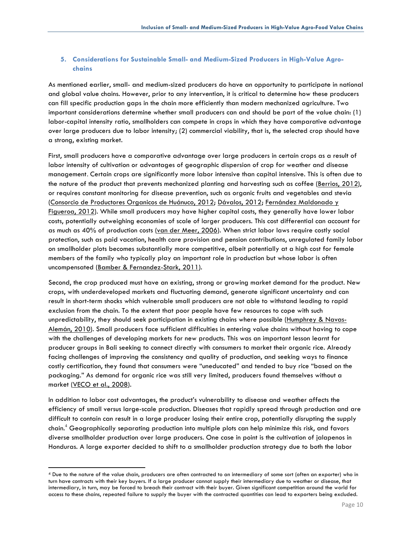## **5. Considerations for Sustainable Small- and Medium-Sized Producers in High-Value Agrochains**

As mentioned earlier, small- and medium-sized producers do have an opportunity to participate in national and global value chains. However, prior to any intervention, it is critical to determine how these producers can fill specific production gaps in the chain more efficiently than modern mechanized agriculture. Two important considerations determine whether small producers can and should be part of the value chain: (1) labor-capital intensity ratio, smallholders can compete in crops in which they have comparative advantage over large producers due to labor intensity; (2) commercial viability, that is, the selected crop should have a strong, existing market.

First, small producers have a comparative advantage over large producers in certain crops as a result of labor intensity of cultivation or advantages of geographic dispersion of crop for weather and disease management. Certain crops are significantly more labor intensive than capital intensive. This is often due to the nature of the product that prevents mechanized planting and harvesting such as coffee (Berrios, 2012), or requires constant monitoring for disease prevention, such as organic fruits and vegetables and stevia (Consorcio de Productores Organicos de Huánuco, 2012; Dávalos, 2012; Fernández Maldonado y Figueroa, 2012). While small producers may have higher capital costs, they generally have lower labor costs, potentially outweighing economies of scale of larger producers. This cost differential can account for as much as 40% of production costs (van der Meer, 2006). When strict labor laws require costly social protection, such as paid vacation, health care provision and pension contributions, unregulated family labor on smallholder plots becomes substantially more competitive, albeit potentially at a high cost for female members of the family who typically play an important role in production but whose labor is often uncompensated (Bamber & Fernandez-Stark, 2011).

Second, the crop produced must have an existing, strong or growing market demand for the product. New crops, with underdeveloped markets and fluctuating demand, generate significant uncertainty and can result in short-term shocks which vulnerable small producers are not able to withstand leading to rapid exclusion from the chain. To the extent that poor people have few resources to cope with such unpredictability, they should seek participation in existing chains where possible (Humphrey & Navas-Alemán, 2010). Small producers face sufficient difficulties in entering value chains without having to cope with the challenges of developing markets for new products. This was an important lesson learnt for producer groups in Bali seeking to connect directly with consumers to market their organic rice. Already facing challenges of improving the consistency and quality of production, and seeking ways to finance costly certification, they found that consumers were "uneducated" and tended to buy rice "based on the packaging." As demand for organic rice was still very limited, producers found themselves without a market (VECO et al., 2008).

In addition to labor cost advantages, the product's vulnerability to disease and weather affects the efficiency of small versus large-scale production. Diseases that rapidly spread through production and are difficult to contain can result in a large producer losing their entire crop, potentially disrupting the supply chain.<sup>4</sup> Geographically separating production into multiple plots can help minimize this risk, and favors diverse smallholder production over large producers. One case in point is the cultivation of jalapenos in Honduras. A large exporter decided to shift to a smallholder production strategy due to both the labor

 <sup>4</sup> Due to the nature of the value chain, producers are often contracted to an intermediary of some sort (often an exporter) who in turn have contracts with their key buyers. If a large producer cannot supply their intermediary due to weather or disease, that intermediary, in turn, may be forced to breach their contract with their buyer. Given significant competition around the world for access to these chains, repeated failure to supply the buyer with the contracted quantities can lead to exporters being excluded.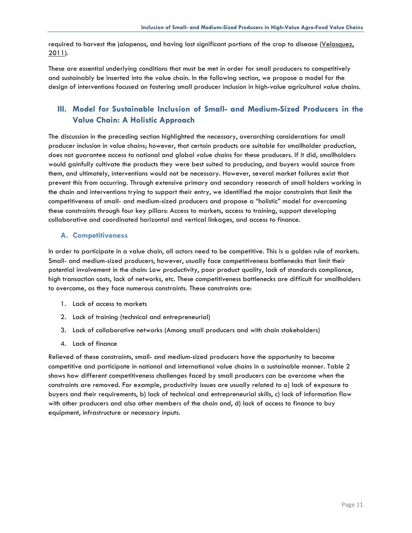required to harvest the jalapenos, and having lost significant portions of the crop to disease (Yelasquez, 2011).

These are essential underlying conditions that must be met in order for small producers to competitively and sustainably be inserted into the value chain. In the following section, we propose a model for the design of interventions focused on fostering small producer inclusion in high-value agricultural value chains.

# **III. Model for Sustainable Inclusion of Small- and Medium-Sized Producers in the Value Chain: A Holistic Approach**

The discussion in the preceding section highlighted the necessary, overarching considerations for small producer inclusion in value chains; however, that certain products are suitable for smallholder production, does not guarantee access to national and global value chains for these producers. If it did, smallholders would gainfully cultivate the products they were best suited to producing, and buyers would source from them, and ultimately, interventions would not be necessary. However, several market failures exist that prevent this from occurring. Through extensive primary and secondary research of small holders working in the chain and interventions trying to support their entry, we identified the major constraints that limit the competitiveness of small- and medium-sized producers and propose a "holistic" model for overcoming these constraints through four key pillars: Access to markets, access to training, support developing collaborative and coordinated horizontal and vertical linkages, and access to finance.

#### **A. Competitiveness**

In order to participate in a value chain, all actors need to be competitive. This is a golden rule of markets. Small- and medium-sized producers, however, usually face competitiveness bottlenecks that limit their potential involvement in the chain: Low productivity, poor product quality, lack of standards compliance, high transaction costs, lack of networks, etc. These competitiveness bottlenecks are difficult for smallholders to overcome, as they face numerous constraints. These constraints are:

- 1. Lack of access to markets
- 2. Lack of training (technical and entrepreneurial)
- 3. Lack of collaborative networks (Among small producers and with chain stakeholders)
- 4. Lack of finance

Relieved of these constraints, small- and medium-sized producers have the opportunity to become competitive and participate in national and international value chains in a sustainable manner. Table 2 shows how different competitiveness challenges faced by small producers can be overcome when the constraints are removed. For example, productivity issues are usually related to a) lack of exposure to buyers and their requirements, b) lack of technical and entrepreneurial skills, c) lack of information flow with other producers and also other members of the chain and, d) lack of access to finance to buy equipment, infrastructure or necessary inputs.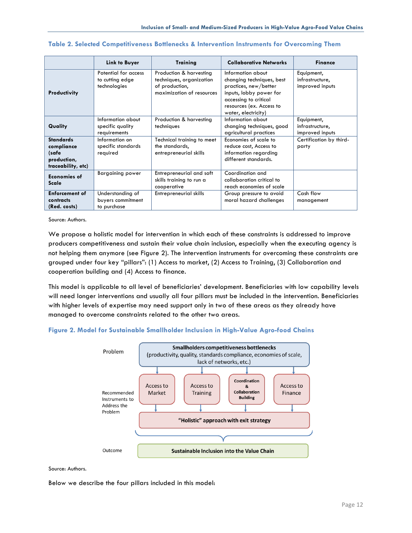|                                                                              | <b>Link to Buyer</b>                                    | <b>Training</b>                                                                                    | <b>Collaborative Networks</b>                                                                                                                                                  | <b>Finance</b>                                   |
|------------------------------------------------------------------------------|---------------------------------------------------------|----------------------------------------------------------------------------------------------------|--------------------------------------------------------------------------------------------------------------------------------------------------------------------------------|--------------------------------------------------|
| Productivity                                                                 | Potential for access<br>to cutting edge<br>technologies | Production & harvesting<br>techniques, organization<br>of production,<br>maximization of resources | Information about<br>changing techniques, best<br>practices, new/better<br>inputs, lobby power for<br>accessing to critical<br>resources (ex. Access to<br>water, electricity) | Equipment,<br>infrastructure,<br>improved inputs |
| Quality                                                                      | Information about<br>specific quality<br>requirements   | Production & harvesting<br>techniques                                                              | Information about<br>changing techniques, good<br>agricultural practices                                                                                                       | Equipment,<br>infrastructure,<br>improved inputs |
| <b>Standards</b><br>compliance<br>(safe<br>production,<br>traceability, etc) | Information on<br>specific standards<br>required        | Technical training to meet<br>the standards,<br>entrepreneurial skills                             | Economies of scale to<br>reduce cost, Access to<br>information regarding<br>different standards.                                                                               | Certification by third-<br>party                 |
| Economies of<br>Scale                                                        | <b>Bargaining power</b>                                 | Entrepreneurial and soft<br>skills training to run a<br>cooperative                                | Coordination and<br>collaboration critical to<br>reach economies of scale                                                                                                      |                                                  |
| <b>Enforcement of</b><br>contracts<br>(Red. costs)                           | Understanding of<br>buyers commitment<br>to purchase    | Entrepreneurial skills                                                                             | Group pressure to avoid<br>moral hazard challenges                                                                                                                             | Cash flow<br>management                          |

#### **Table 2. Selected Competitiveness Bottlenecks & Intervention Instruments for Overcoming Them**

Source: Authors.

We propose a holistic model for intervention in which each of these constraints is addressed to improve producers competitiveness and sustain their value chain inclusion, especially when the executing agency is not helping them anymore (see Figure 2). The intervention instruments for overcoming these constraints are grouped under four key "pillars": (1) Access to market, (2) Access to Training, (3) Collaboration and cooperation building and (4) Access to finance.

This model is applicable to all level of beneficiaries' development. Beneficiaries with low capability levels will need longer interventions and usually all four pillars must be included in the intervention. Beneficiaries with higher levels of expertise may need support only in two of these areas as they already have managed to overcome constraints related to the other two areas.





Source: Authors.

Below we describe the four pillars included in this model: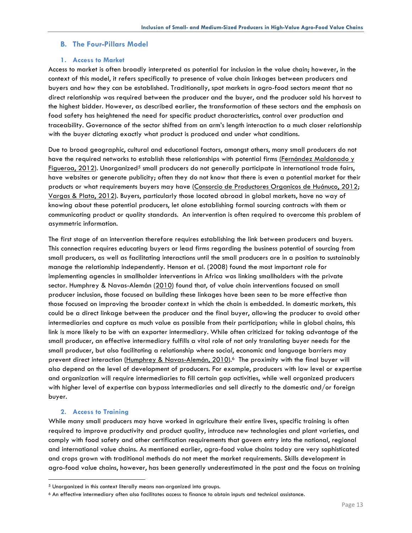#### **B. The Four-Pillars Model**

#### **1. Access to Market**

Access to market is often broadly interpreted as potential for inclusion in the value chain; however, in the context of this model, it refers specifically to presence of value chain linkages between producers and buyers and how they can be established. Traditionally, spot markets in agro-food sectors meant that no direct relationship was required between the producer and the buyer, and the producer sold his harvest to the highest bidder. However, as described earlier, the transformation of these sectors and the emphasis on food safety has heightened the need for specific product characteristics, control over production and traceability. Governance of the sector shifted from an arm's length interaction to a much closer relationship with the buyer dictating exactly what product is produced and under what conditions.

Due to broad geographic, cultural and educational factors, amongst others, many small producers do not have the required networks to establish these relationships with potential firms (Fernández Maldonado y Figueroa, 2012). Unorganized<sup>5</sup> small producers do not generally participate in international trade fairs, have websites or generate publicity; often they do not know that there is even a potential market for their products or what requirements buyers may have (Consorcio de Productores Organicos de Huánuco, 2012; Vargas & Plata, 2012). Buyers, particularly those located abroad in global markets, have no way of knowing about these potential producers, let alone establishing formal sourcing contracts with them or communicating product or quality standards. An intervention is often required to overcome this problem of asymmetric information.

The first stage of an intervention therefore requires establishing the link between producers and buyers. This connection requires educating buyers or lead firms regarding the business potential of sourcing from small producers, as well as facilitating interactions until the small producers are in a position to sustainably manage the relationship independently. Henson et al. (2008) found the most important role for implementing agencies in smallholder interventions in Africa was linking smallholders with the private sector. Humphrey & Navas-Alemán (2010) found that, of value chain interventions focused on small producer inclusion, those focused on building these linkages have been seen to be more effective than those focused on improving the broader context in which the chain is embedded. In domestic markets, this could be a direct linkage between the producer and the final buyer, allowing the producer to avoid other intermediaries and capture as much value as possible from their participation; while in global chains, this link is more likely to be with an exporter intermediary. While often criticized for taking advantage of the small producer, an effective intermediary fulfills a vital role of not only translating buyer needs for the small producer, but also facilitating a relationship where social, economic and language barriers may prevent direct interaction (Humphrey & Navas-Alemán, 2010).<sup>6</sup> The proximity with the final buyer will also depend on the level of development of producers. For example, producers with low level or expertise and organization will require intermediaries to fill certain gap activities, while well organized producers with higher level of expertise can bypass intermediaries and sell directly to the domestic and/or foreign buyer.

#### **2. Access to Training**

While many small producers may have worked in agriculture their entire lives, specific training is often required to improve productivity and product quality, introduce new technologies and plant varieties, and comply with food safety and other certification requirements that govern entry into the national, regional and international value chains. As mentioned earlier, agro-food value chains today are very sophisticated and crops grown with traditional methods do not meet the market requirements. Skills development in agro-food value chains, however, has been generally underestimated in the past and the focus on training

 <sup>5</sup> Unorganized in this context literally means non-organized into groups.

<sup>6</sup> An effective intermediary often also facilitates access to finance to obtain inputs and technical assistance.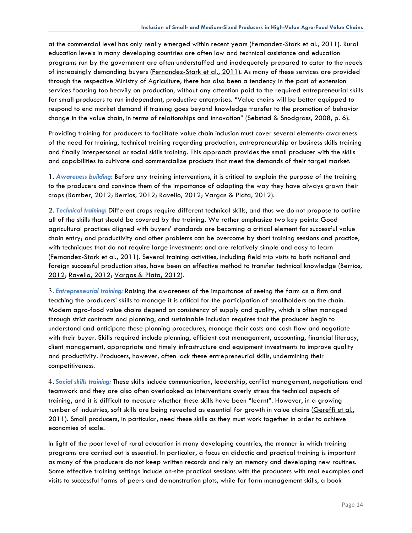at the commercial level has only really emerged within recent years (Fernandez-Stark et al., 2011). Rural education levels in many developing countries are often low and technical assistance and education programs run by the government are often understaffed and inadequately prepared to cater to the needs of increasingly demanding buyers (Fernandez-Stark et al., 2011). As many of these services are provided through the respective Ministry of Agriculture, there has also been a tendency in the past of extension services focusing too heavily on production, without any attention paid to the required entrepreneurial skills for small producers to run independent, productive enterprises. "Value chains will be better equipped to respond to end market demand if training goes beyond knowledge transfer to the promotion of behavior change in the value chain, in terms of relationships and innovation" (Sebstad & Snodgrass, 2008, p. 6).

Providing training for producers to facilitate value chain inclusion must cover several elements: awareness of the need for training, technical training regarding production, entrepreneurship or business skills training and finally interpersonal or social skills training. This approach provides the small producer with the skills and capabilities to cultivate and commercialize products that meet the demands of their target market.

1. *Awareness building:* Before any training interventions, it is critical to explain the purpose of the training to the producers and convince them of the importance of adapting the way they have always grown their crops (Bamber, 2012; Berrios, 2012; Ravello, 2012; Vargas & Plata, 2012).

2. *Technical training:* Different crops require different technical skills, and thus we do not propose to outline all of the skills that should be covered by the training. We rather emphasize two key points: Good agricultural practices aligned with buyers' standards are becoming a critical element for successful value chain entry; and productivity and other problems can be overcome by short training sessions and practice, with techniques that do not require large investments and are relatively simple and easy to learn (Fernandez-Stark et al., 2011). Several training activities, including field trip visits to both national and foreign successful production sites, have been an effective method to transfer technical knowledge (Berrios, 2012; Ravello, 2012; Vargas & Plata, 2012).

3. *Entrepreneurial training:* Raising the awareness of the importance of seeing the farm as a firm and teaching the producers' skills to manage it is critical for the participation of smallholders on the chain. Modern agro-food value chains depend on consistency of supply and quality, which is often managed through strict contracts and planning, and sustainable inclusion requires that the producer begin to understand and anticipate these planning procedures, manage their costs and cash flow and negotiate with their buyer. Skills required include planning, efficient cost management, accounting, financial literacy, client management, appropriate and timely infrastructure and equipment investments to improve quality and productivity. Producers, however, often lack these entrepreneurial skills, undermining their competitiveness.

4. *Social skills training:* These skills include communication, leadership, conflict management, negotiations and teamwork and they are also often overlooked as interventions overly stress the technical aspects of training, and it is difficult to measure whether these skills have been "learnt". However, in a growing number of industries, soft skills are being revealed as essential for growth in value chains (Gereffi et al., 2011). Small producers, in particular, need these skills as they must work together in order to achieve economies of scale.

In light of the poor level of rural education in many developing countries, the manner in which training programs are carried out is essential. In particular, a focus on didactic and practical training is important as many of the producers do not keep written records and rely on memory and developing new routines. Some effective training settings include on-site practical sessions with the producers with real examples and visits to successful farms of peers and demonstration plots, while for farm management skills, a book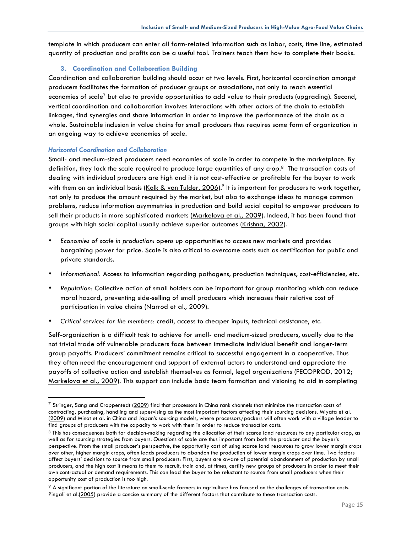template in which producers can enter all farm-related information such as labor, costs, time line, estimated quantity of production and profits can be a useful tool. Trainers teach them how to complete their books.

#### **3. Coordination and Collaboration Building**

Coordination and collaboration building should occur at two levels. First, horizontal coordination amongst producers facilitates the formation of producer groups or associations, not only to reach essential economies of scale<sup>7</sup> but also to provide opportunities to add value to their products (upgrading). Second, vertical coordination and collaboration involves interactions with other actors of the chain to establish linkages, find synergies and share information in order to improve the performance of the chain as a whole. Sustainable inclusion in value chains for small producers thus requires some form of organization in an ongoing way to achieve economies of scale.

#### *Horizontal Coordination and Collaboration*

Small- and medium-sized producers need economies of scale in order to compete in the marketplace. By definition, they lack the scale required to produce large quantities of any crop.8 The transaction costs of dealing with individual producers are high and it is not cost-effective or profitable for the buyer to work with them on an individual basis <u>(Kolk & van Tulder, 2006</u>).<sup>9</sup> It is important for producers to work together, not only to produce the amount required by the market, but also to exchange ideas to manage common problems, reduce information asymmetries in production and build social capital to empower producers to sell their products in more sophisticated markets (Markelova et al., 2009). Indeed, it has been found that groups with high social capital usually achieve superior outcomes (Krishna, 2002).

- *Economies of scale in production*: opens up opportunities to access new markets and provides bargaining power for price. Scale is also critical to overcome costs such as certification for public and private standards.
- *Informational:* Access to information regarding pathogens, production techniques, cost-efficiencies, etc.
- *Reputation:* Collective action of small holders can be important for group monitoring which can reduce moral hazard, preventing side-selling of small producers which increases their relative cost of participation in value chains (Narrod et al., 2009).
- *Critical services for the members:* credit, access to cheaper inputs, technical assistance, etc.

Self-organization is a difficult task to achieve for small- and medium-sized producers, usually due to the not trivial trade off vulnerable producers face between immediate individual benefit and longer-term group payoffs. Producers' commitment remains critical to successful engagement in a cooperative. Thus they often need the encouragement and support of external actors to understand and appreciate the payoffs of collective action and establish themselves as formal, legal organizations (FECOPROD, 2012; Markelova et al., 2009). This support can include basic team formation and visioning to aid in completing

 $7$  Stringer, Sang and Croppentedt (2009) find that processors in China rank channels that minimize the transaction costs of contracting, purchasing, handling and supervising as the most important factors affecting their sourcing decisions. Miyata et al. (2009) and Minot et al. in China and Japan's sourcing models, where processors/packers will often work with a village leader to find groups of producers with the capacity to work with them in order to reduce transaction costs.

<sup>8</sup> This has consequences both for decision-making regarding the allocation of their scarce land resources to any particular crop, as well as for sourcing strategies from buyers. Questions of scale are thus important from both the producer and the buyer's perspective. From the small producer's perspective, the opportunity cost of using scarce land resources to grow lower margin crops over other, higher margin crops, often leads producers to abandon the production of lower margin crops over time. Two factors affect buyers' decisions to source from small producers: First, buyers are aware of potential abandonment of production by small producers, and the high cost it means to them to recruit, train and, at times, certify new groups of producers in order to meet their own contractual or demand requirements. This can lead the buyer to be reluctant to source from small producers when their opportunity cost of production is too high.

 $9$  A significant portion of the literature on small-scale farmers in agriculture has focused on the challenges of transaction costs. Pingali et al.(2005) provide a concise summary of the different factors that contribute to these transaction costs.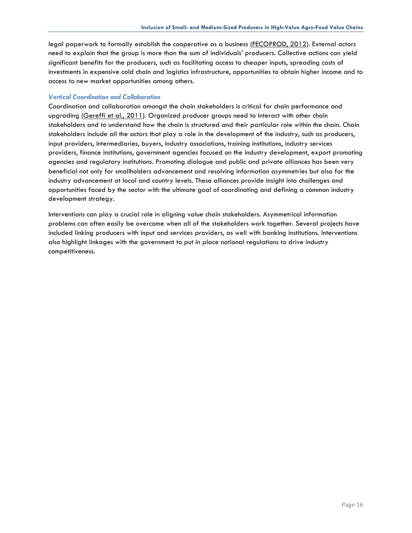legal paperwork to formally establish the cooperative as a business (FECOPROD, 2012). External actors need to explain that the group is more than the sum of individuals' producers. Collective actions can yield significant benefits for the producers, such as facilitating access to cheaper inputs, spreading costs of investments in expensive cold chain and logistics infrastructure, opportunities to obtain higher income and to access to new market opportunities among others.

#### *Vertical Coordination and Collaboration*

Coordination and collaboration amongst the chain stakeholders is critical for chain performance and upgrading (Gereffi et al., 2011). Organized producer groups need to interact with other chain stakeholders and to understand how the chain is structured and their particular role within the chain. Chain stakeholders include all the actors that play a role in the development of the industry, such as producers, input providers, intermediaries, buyers, industry associations, training institutions, industry services providers, finance institutions, government agencies focused on the industry development, export promoting agencies and regulatory institutions. Promoting dialogue and public and private alliances has been very beneficial not only for smallholders advancement and resolving information asymmetries but also for the industry advancement at local and country levels. These alliances provide insight into challenges and opportunities faced by the sector with the ultimate goal of coordinating and defining a common industry development strategy.

Interventions can play a crucial role in aligning value chain stakeholders. Asymmetrical information problems can often easily be overcome when all of the stakeholders work together. Several projects have included linking producers with input and services providers, as well with banking institutions. Interventions also highlight linkages with the government to put in place national regulations to drive industry competitiveness.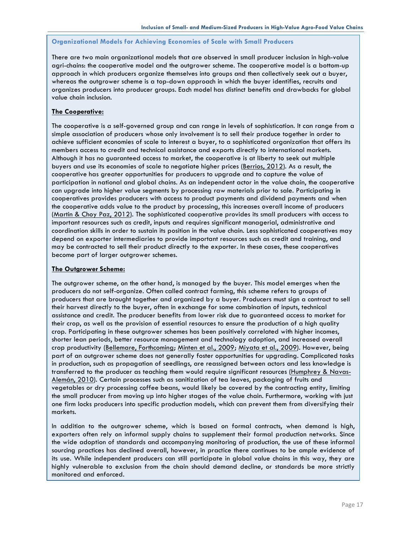#### **Organizational Models for Achieving Economies of Scale with Small Producers**

There are two main organizational models that are observed in small producer inclusion in high-value agri-chains: the cooperative model and the outgrower scheme. The cooperative model is a bottom-up approach in which producers organize themselves into groups and then collectively seek out a buyer, whereas the outgrower scheme is a top-down approach in which the buyer identifies, recruits and organizes producers into producer groups. Each model has distinct benefits and drawbacks for global value chain inclusion.

#### **The Cooperative:**

The cooperative is a self-governed group and can range in levels of sophistication. It can range from a simple association of producers whose only involvement is to sell their produce together in order to achieve sufficient economies of scale to interest a buyer, to a sophisticated organization that offers its members access to credit and technical assistance and exports directly to international markets. Although it has no guaranteed access to market, the cooperative is at liberty to seek out multiple buyers and use its economies of scale to negotiate higher prices (Berrios, 2012). As a result, the cooperative has greater opportunities for producers to upgrade and to capture the value of participation in national and global chains. As an independent actor in the value chain, the cooperative can upgrade into higher value segments by processing raw materials prior to sale. Participating in cooperatives provides producers with access to product payments and dividend payments and when the cooperative adds value to the product by processing, this increases overall income of producers (Martin & Choy Paz, 2012). The sophisticated cooperative provides its small producers with access to important resources such as credit, inputs and requires significant managerial, administrative and coordination skills in order to sustain its position in the value chain. Less sophisticated cooperatives may depend on exporter intermediaries to provide important resources such as credit and training, and may be contracted to sell their product directly to the exporter. In these cases, these cooperatives become part of larger outgrower schemes.

#### **The Outgrower Scheme:**

The outgrower scheme, on the other hand, is managed by the buyer. This model emerges when the producers do not self-organize. Often called contract farming, this scheme refers to groups of producers that are brought together and organized by a buyer. Producers must sign a contract to sell their harvest directly to the buyer, often in exchange for some combination of inputs, technical assistance and credit. The producer benefits from lower risk due to guaranteed access to market for their crop, as well as the provision of essential resources to ensure the production of a high quality crop. Participating in these outgrower schemes has been positively correlated with higher incomes, shorter lean periods, better resource management and technology adoption, and increased overall crop productivity (Bellemare, Forthcoming; Minten et al., 2009; Miyata et al., 2009). However, being part of an outgrower scheme does not generally foster opportunities for upgrading. Complicated tasks in production, such as propagation of seedlings, are reassigned between actors and less knowledge is transferred to the producer as teaching them would require significant resources (Humphrey & Navas-Alemán, 2010). Certain processes such as sanitization of tea leaves, packaging of fruits and vegetables or dry processing coffee beans, would likely be covered by the contracting entity, limiting the small producer from moving up into higher stages of the value chain. Furthermore, working with just one firm locks producers into specific production models, which can prevent them from diversifying their markets.

In addition to the outgrower scheme, which is based on formal contracts, when demand is high, exporters often rely on informal supply chains to supplement their formal production networks. Since the wide adoption of standards and accompanying monitoring of production, the use of these informal sourcing practices has declined overall, however, in practice there continues to be ample evidence of its use. While independent producers can still participate in global value chains in this way, they are highly vulnerable to exclusion from the chain should demand decline, or standards be more strictly monitored and enforced.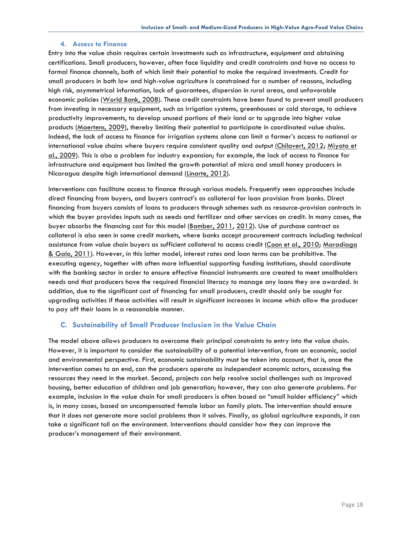#### **4. Access to Finance**

Entry into the value chain requires certain investments such as infrastructure, equipment and obtaining certifications. Small producers, however, often face liquidity and credit constraints and have no access to formal finance channels, both of which limit their potential to make the required investments. Credit for small producers in both low and high-value agriculture is constrained for a number of reasons, including high risk, asymmetrical information, lack of guarantees, dispersion in rural areas, and unfavorable economic policies (World Bank, 2008). These credit constraints have been found to prevent small producers from investing in necessary equipment, such as irrigation systems, greenhouses or cold storage, to achieve productivity improvements, to develop unused portions of their land or to upgrade into higher value products (Maertens, 2009), thereby limiting their potential to participate in coordinated value chains. Indeed, the lack of access to finance for irrigation systems alone can limit a farmer's access to national or international value chains where buyers require consistent quality and output (Chilavert, 2012; Miyata et al., 2009). This is also a problem for industry expansion; for example, the lack of access to finance for infrastructure and equipment has limited the growth potential of micro and small honey producers in Nicaragua despite high international demand (Linarte, 2012).

Interventions can facilitate access to finance through various models. Frequently seen approaches include direct financing from buyers, and buyers contract's as collateral for loan provision from banks. Direct financing from buyers consists of loans to producers through schemes such as resource-provision contracts in which the buyer provides inputs such as seeds and fertilizer and other services on credit. In many cases, the buyer absorbs the financing cost for this model (Bamber, 2011, 2012). Use of purchase contract as collateral is also seen in some credit markets, where banks accept procurement contracts including technical assistance from value chain buyers as sufficient collateral to access credit (Coon et al., 2010; Maradiaga & Galo, 2011). However, in this latter model, interest rates and loan terms can be prohibitive. The executing agency, together with often more influential supporting funding institutions, should coordinate with the banking sector in order to ensure effective financial instruments are created to meet smallholders needs and that producers have the required financial literacy to manage any loans they are awarded. In addition, due to the significant cost of financing for small producers, credit should only be sought for upgrading activities if these activities will result in significant increases in income which allow the producer to pay off their loans in a reasonable manner.

#### **C. Sustainability of Small Producer Inclusion in the Value Chain**

The model above allows producers to overcome their principal constraints to entry into the value chain. However, it is important to consider the sustainability of a potential intervention, from an economic, social and environmental perspective. First, economic sustainability must be taken into account, that is, once the intervention comes to an end, can the producers operate as independent economic actors, accessing the resources they need in the market. Second, projects can help resolve social challenges such as improved housing, better education of children and job generation; however, they can also generate problems. For example, inclusion in the value chain for small producers is often based on "small holder efficiency" which is, in many cases, based on uncompensated female labor on family plots. The intervention should ensure that it does not generate more social problems than it solves. Finally, as global agriculture expands, it can take a significant toll on the environment. Interventions should consider how they can improve the producer's management of their environment.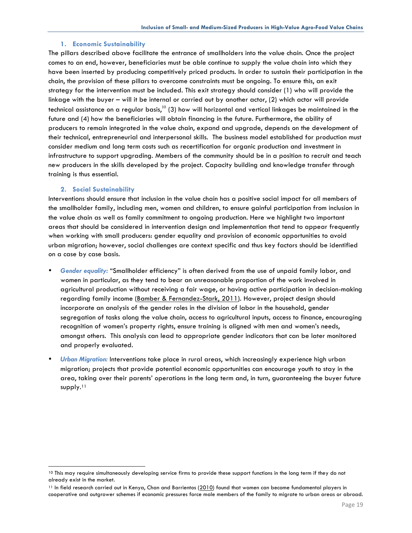#### **1. Economic Sustainability**

The pillars described above facilitate the entrance of smallholders into the value chain. Once the project comes to an end, however, beneficiaries must be able continue to supply the value chain into which they have been inserted by producing competitively priced products. In order to sustain their participation in the chain, the provision of these pillars to overcome constraints must be ongoing. To ensure this, an exit strategy for the intervention must be included. This exit strategy should consider (1) who will provide the linkage with the buyer – will it be internal or carried out by another actor, (2) which actor will provide technical assistance on a regular basis, $^{10}$  (3) how will horizontal and vertical linkages be maintained in the future and (4) how the beneficiaries will obtain financing in the future. Furthermore, the ability of producers to remain integrated in the value chain, expand and upgrade, depends on the development of their technical, entrepreneurial and interpersonal skills. The business model established for production must consider medium and long term costs such as recertification for organic production and investment in infrastructure to support upgrading. Members of the community should be in a position to recruit and teach new producers in the skills developed by the project. Capacity building and knowledge transfer through training is thus essential.

#### **2. Social Sustainability**

Interventions should ensure that inclusion in the value chain has a positive social impact for all members of the smallholder family, including men, women and children, to ensure gainful participation from inclusion in the value chain as well as family commitment to ongoing production. Here we highlight two important areas that should be considered in intervention design and implementation that tend to appear frequently when working with small producers: gender equality and provision of economic opportunities to avoid urban migration; however, social challenges are context specific and thus key factors should be identified on a case by case basis.

- *Gender equality:* "Smallholder efficiency" is often derived from the use of unpaid family labor, and women in particular, as they tend to bear an unreasonable proportion of the work involved in agricultural production without receiving a fair wage, or having active participation in decision-making regarding family income (Bamber & Fernandez-Stark, 2011). However, project design should incorporate an analysis of the gender roles in the division of labor in the household, gender segregation of tasks along the value chain, access to agricultural inputs, access to finance, encouraging recognition of women's property rights, ensure training is aligned with men and women's needs, amongst others. This analysis can lead to appropriate gender indicators that can be later monitored and properly evaluated*.*
- *Urban Migration:* Interventions take place in rural areas, which increasingly experience high urban migration; projects that provide potential economic opportunities can encourage youth to stay in the area, taking over their parents' operations in the long term and, in turn, guaranteeing the buyer future supply.<sup>11</sup>

<sup>&</sup>lt;sup>10</sup> This may require simultaneously developing service firms to provide these support functions in the long term if they do not already exist in the market.

<sup>&</sup>lt;sup>11</sup> In field research carried out in Kenya, Chan and Barrientos (2010) found that women can become fundamental players in cooperative and outgrower schemes if economic pressures force male members of the family to migrate to urban areas or abroad.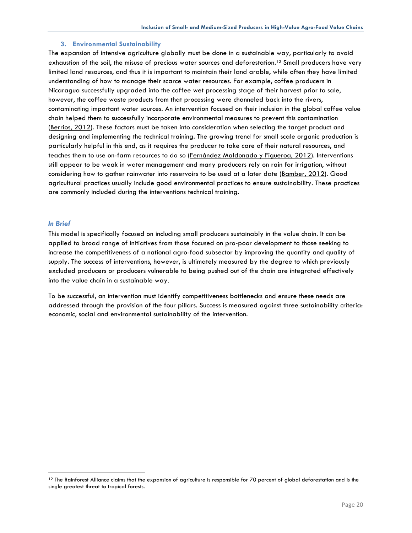#### **3. Environmental Sustainability**

The expansion of intensive agriculture globally must be done in a sustainable way, particularly to avoid exhaustion of the soil, the misuse of precious water sources and deforestation.<sup>12</sup> Small producers have very limited land resources, and thus it is important to maintain their land arable, while often they have limited understanding of how to manage their scarce water resources. For example, coffee producers in Nicaragua successfully upgraded into the coffee wet processing stage of their harvest prior to sale, however, the coffee waste products from that processing were channeled back into the rivers, contaminating important water sources. An intervention focused on their inclusion in the global coffee value chain helped them to successfully incorporate environmental measures to prevent this contamination (Berrios, 2012). These factors must be taken into consideration when selecting the target product and designing and implementing the technical training. The growing trend for small scale organic production is particularly helpful in this end, as it requires the producer to take care of their natural resources, and teaches them to use on-farm resources to do so (Fernández Maldonado y Figueroa, 2012). Interventions still appear to be weak in water management and many producers rely on rain for irrigation, without considering how to gather rainwater into reservoirs to be used at a later date (Bamber, 2012). Good agricultural practices usually include good environmental practices to ensure sustainability. These practices are commonly included during the interventions technical training.

#### *In Brief*

This model is specifically focused on including small producers sustainably in the value chain. It can be applied to broad range of initiatives from those focused on pro-poor development to those seeking to increase the competitiveness of a national agro-food subsector by improving the quantity and quality of supply. The success of interventions, however, is ultimately measured by the degree to which previously excluded producers or producers vulnerable to being pushed out of the chain are integrated effectively into the value chain in a sustainable way.

To be successful, an intervention must identify competitiveness bottlenecks and ensure these needs are addressed through the provision of the four pillars. Success is measured against three sustainability criteria: economic, social and environmental sustainability of the intervention.

 $12$  The Rainforest Alliance claims that the expansion of agriculture is responsible for 70 percent of global deforestation and is the single greatest threat to tropical forests.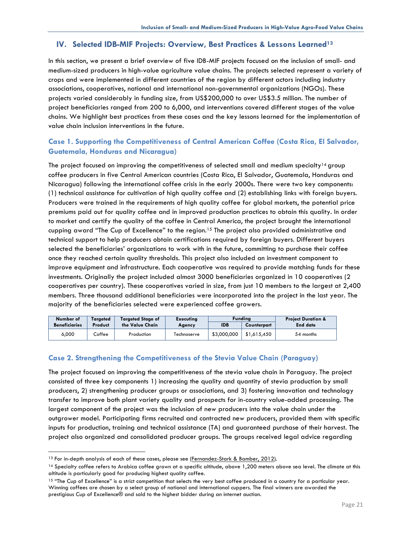## **IV. Selected IDB-MIF Projects: Overview, Best Practices & Lessons Learned13**

In this section, we present a brief overview of five IDB-MIF projects focused on the inclusion of small- and medium-sized producers in high-value agriculture value chains. The projects selected represent a variety of crops and were implemented in different countries of the region by different actors including industry associations, cooperatives, national and international non-governmental organizations (NGOs). These projects varied considerably in funding size, from US\$200,000 to over US\$3.5 million. The number of project beneficiaries ranged from 200 to 6,000, and interventions covered different stages of the value chains. We highlight best practices from these cases and the key lessons learned for the implementation of value chain inclusion interventions in the future.

## **Case 1. Supporting the Competitiveness of Central American Coffee (Costa Rica, El Salvador, Guatemala, Honduras and Nicaragua)**

The project focused on improving the competitiveness of selected small and medium specialty<sup>14</sup> group coffee producers in five Central American countries (Costa Rica, El Salvador, Guatemala, Honduras and Nicaragua) following the international coffee crisis in the early 2000s. There were two key components: (1) technical assistance for cultivation of high quality coffee and (2) establishing links with foreign buyers. Producers were trained in the requirements of high quality coffee for global markets, the potential price premiums paid out for quality coffee and in improved production practices to obtain this quality. In order to market and certify the quality of the coffee in Central America, the project brought the international cupping award "The Cup of Excellence" to the region.15 The project also provided administrative and technical support to help producers obtain certifications required by foreign buyers. Different buyers selected the beneficiaries' organizations to work with in the future, committing to purchase their coffee once they reached certain quality thresholds. This project also included an investment component to improve equipment and infrastructure. Each cooperative was required to provide matching funds for these investments. Originally the project included almost 3000 beneficiaries organized in 10 cooperatives (2 cooperatives per country). These cooperatives varied in size, from just 10 members to the largest at 2,400 members. Three thousand additional beneficiaries were incorporated into the project in the last year. The majority of the beneficiaries selected were experienced coffee growers.

| Number of            | Taraeted |                 |             |             |             |                 |  |  |  |  |  | <b>Targeted Stage of</b> | <b>Executing</b> |  | Fundina | <b>Project Duration &amp;</b> |
|----------------------|----------|-----------------|-------------|-------------|-------------|-----------------|--|--|--|--|--|--------------------------|------------------|--|---------|-------------------------------|
| <b>Beneficiaries</b> | Product  | the Value Chain | Agency      | <b>IDB</b>  | Counterpart | <b>End date</b> |  |  |  |  |  |                          |                  |  |         |                               |
| 6.000                | offee∟   | Production      | Technoserve | \$3,000,000 | \$1.615.450 | 54 months       |  |  |  |  |  |                          |                  |  |         |                               |

## **Case 2. Strengthening the Competitiveness of the Stevia Value Chain (Paraguay)**

The project focused on improving the competitiveness of the stevia value chain in Paraguay. The project consisted of three key components 1) increasing the quality and quantity of stevia production by small producers, 2) strengthening producer groups or associations, and 3) fostering innovation and technology transfer to improve both plant variety quality and prospects for in-country value-added processing. The largest component of the project was the inclusion of new producers into the value chain under the outgrower model. Participating firms recruited and contracted new producers, provided them with specific inputs for production, training and technical assistance (TA) and guaranteed purchase of their harvest. The project also organized and consolidated producer groups. The groups received legal advice regarding

<sup>13</sup> For in-depth analysis of each of these cases, please see (Fernandez-Stark & Bamber, 2012).

<sup>14</sup> Specialty coffee refers to Arabica coffee grown at a specific altitude, above 1,200 meters above sea level. The climate at this altitude is particularly good for producing highest quality coffee.

<sup>15 &</sup>quot;The Cup of Excellence" is a strict competition that selects the very best coffee produced in a country for a particular year. Winning coffees are chosen by a select group of national and international cuppers. The final winners are awarded the prestigious Cup of Excellence® and sold to the highest bidder during an internet auction.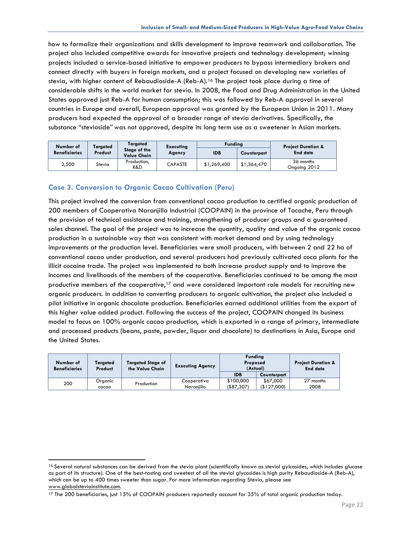how to formalize their organizations and skills development to improve teamwork and collaboration. The project also included competitive awards for innovative projects and technology development; winning projects included a service-based initiative to empower producers to bypass intermediary brokers and connect directly with buyers in foreign markets, and a project focused on developing new varieties of stevia, with higher content of Rebaudioside-A (Reb-A).16 The project took place during a time of considerable shifts in the world market for stevia. In 2008, the Food and Drug Administration in the United States approved just Reb-A for human consumption; this was followed by Reb-A approval in several countries in Europe and overall, European approval was granted by the European Union in 2011. Many producers had expected the approval of a broader range of stevia derivatives. Specifically, the substance "stevioside" was not approved, despite its long term use as a sweetener in Asian markets.

| Number of            | <b>Targeted</b> | Targeted                           | <b>Executing</b> | <b>Funding</b> |             | <b>Project Duration &amp;</b> |
|----------------------|-----------------|------------------------------------|------------------|----------------|-------------|-------------------------------|
| <b>Beneficiaries</b> | Product         | Stage of the<br><b>Value Chain</b> | Agency           | <b>IDB</b>     | Counterpart | <b>End date</b>               |
| 2,500                | Stevia          | Production,<br>R&D                 | <b>CAPASTE</b>   | \$1,269,400    | \$1,364,470 | 36 months<br>Ongoing 2012     |

## **Case 3. Conversion to Organic Cacao Cultivation (Peru)**

This project involved the conversion from conventional cacao production to certified organic production of 200 members of Cooperativa Naranjilla Industrial (COOPAIN) in the province of Tocache, Peru through the provision of technical assistance and training, strengthening of producer groups and a guaranteed sales channel. The goal of the project was to increase the quantity, quality and value of the organic cacao production in a sustainable way that was consistent with market demand and by using technology improvements at the production level. Beneficiaries were small producers, with between 2 and 22 ha of conventional cacao under production, and several producers had previously cultivated coca plants for the illicit cocaine trade. The project was implemented to both increase product supply and to improve the incomes and livelihoods of the members of the cooperative. Beneficiaries continued to be among the most productive members of the cooperative,<sup>17</sup> and were considered important role models for recruiting new organic producers. In addition to converting producers to organic cultivation, the project also included a pilot initiative in organic chocolate production. Beneficiaries earned additional utilities from the export of this higher value added product. Following the success of the project, COOPAIN changed its business model to focus on 100% organic cacao production, which is exported in a range of primary, intermediate and processed products (beans, paste, powder, liquor and chocolate) to destinations in Asia, Europe and the United States.

| Number of<br><b>Beneficiaries</b> | Targeted<br>Product | <b>Targeted Stage of</b><br>the Value Chain | <b>Funding</b><br>Proposed<br><b>Executing Agency</b><br>(Actual) |                           |                         | <b>Project Duration &amp;</b><br><b>End date</b> |
|-----------------------------------|---------------------|---------------------------------------------|-------------------------------------------------------------------|---------------------------|-------------------------|--------------------------------------------------|
|                                   |                     |                                             |                                                                   | <b>IDB</b>                | Counterpart             |                                                  |
| 200                               | Organic<br>cacao    | Production                                  | Cooperativa<br>Naraniillo                                         | \$100,000<br>( \$87, 307) | \$67,000<br>(\$127,000) | 27 months<br>2008                                |

<sup>16</sup> Several natural substances can be derived from the stevia plant (scientifically known as steviol gylcosides, which includes glucose as part of its structure). One of the best-tasting and sweetest of all the steviol glycosides is high purity Rebaudioside-A (Reb-A), which can be up to 400 times sweeter than sugar. For more information regarding Stevia, please see www.globalsteviainstitute.com.

<sup>17</sup> The 200 beneficiaries, just 15% of COOPAIN producers reportedly account for 35% of total organic production today.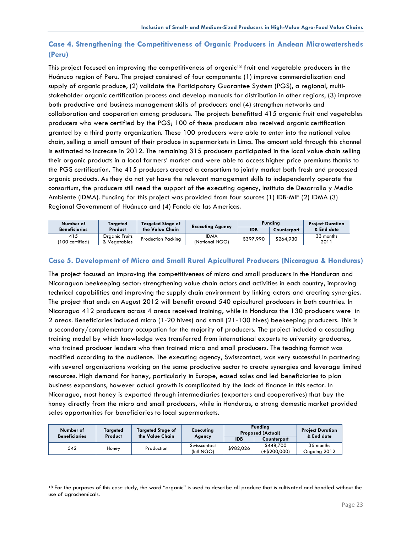# **Case 4. Strengthening the Competitiveness of Organic Producers in Andean Microwatersheds (Peru)**

This project focused on improving the competitiveness of organic<sup>18</sup> fruit and vegetable producers in the Huánuco region of Peru. The project consisted of four components: (1) improve commercialization and supply of organic produce, (2) validate the Participatory Guarantee System (PGS), a regional, multistakeholder organic certification process and develop manuals for distribution in other regions, (3) improve both productive and business management skills of producers and (4) strengthen networks and collaboration and cooperation among producers. The projects benefitted 415 organic fruit and vegetables producers who were certified by the PGS; 100 of these producers also received organic certification granted by a third party organization. These 100 producers were able to enter into the national value chain, selling a small amount of their produce in supermarkets in Lima. The amount sold through this channel is estimated to increase in 2012. The remaining 315 producers participated in the local value chain selling their organic products in a local farmers' market and were able to access higher price premiums thanks to the PGS certification. The 415 producers created a consortium to jointly market both fresh and processed organic products. As they do not yet have the relevant management skills to independently operate the consortium, the producers still need the support of the executing agency, Instituto de Desarrollo y Medio Ambiente (IDMA). Funding for this project was provided from four sources (1) IDB-MIF (2) IDMA (3) Regional Government of Huánuco and (4) Fondo de las Americas.

| Number of            | <b>Targeted Stage of</b><br>Taraeted |                           | <b>Executing Agency</b> |           | Fundina     | <b>Project Duration</b> |
|----------------------|--------------------------------------|---------------------------|-------------------------|-----------|-------------|-------------------------|
| <b>Beneficiaries</b> | Product                              | the Value Chain           |                         |           | Counterpart | & End date              |
| 415                  | Organic Fruits                       | <b>Production Packing</b> | <b>IDMA</b>             | \$397,990 | \$264.930   | 33 months               |
| 100 certified)       | & Vegetables                         |                           | (National NGO)          |           |             | 2011                    |

## **Case 5. Development of Micro and Small Rural Apicultural Producers (Nicaragua & Honduras)**

The project focused on improving the competitiveness of micro and small producers in the Honduran and Nicaraguan beekeeping sector: strengthening value chain actors and activities in each country, improving technical capabilities and improving the supply chain environment by linking actors and creating synergies. The project that ends on August 2012 will benefit around 540 apicultural producers in both countries. In Nicaragua 412 producers across 4 areas received training, while in Honduras the 130 producers were in 2 areas. Beneficiaries included micro (1-20 hives) and small (21-100 hives) beekeeping producers. This is a secondary/complementary occupation for the majority of producers. The project included a cascading training model by which knowledge was transferred from international experts to university graduates, who trained producer leaders who then trained micro and small producers. The teaching format was modified according to the audience. The executing agency, Swisscontact, was very successful in partnering with several organizations working on the same productive sector to create synergies and leverage limited resources. High demand for honey, particularly in Europe, eased sales and led beneficiaries to plan business expansions, however actual growth is complicated by the lack of finance in this sector. In Nicaragua, most honey is exported through intermediaries (exporters and cooperatives) that buy the honey directly from the micro and small producers, while in Honduras, a strong domestic market provided sales opportunities for beneficiaries to local supermarkets.

| Number of<br><b>Beneficiaries</b> | Targeted<br>Product | <b>Targeted Stage of</b><br>the Value Chain | <b>Executing</b>           | <b>Funding</b><br><b>Proposed (Actual)</b> |                           | <b>Project Duration</b><br>& End date |
|-----------------------------------|---------------------|---------------------------------------------|----------------------------|--------------------------------------------|---------------------------|---------------------------------------|
|                                   |                     |                                             | Agency                     | <b>IDB</b>                                 | Counterpart               |                                       |
| 542                               | Honey               | Production                                  | Swisscontact<br>(Intl NGO) | \$982,026                                  | \$448.700<br>(+\$200.000) | 36 months<br>Ongoing 2012             |

<sup>&</sup>lt;sup>18</sup> For the purposes of this case study, the word "organic" is used to describe all produce that is cultivated and handled without the use of agrochemicals.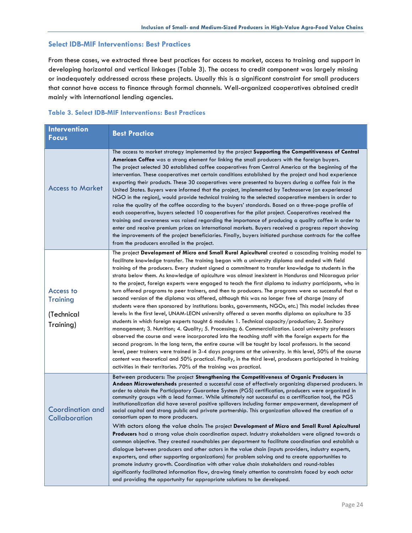## **Select IDB-MIF Interventions: Best Practices**

From these cases, we extracted three best practices for access to market, access to training and support in developing horizontal and vertical linkages (Table 3). The access to credit component was largely missing or inadequately addressed across these projects. Usually this is a significant constraint for small producers that cannot have access to finance through formal channels. Well-organized cooperatives obtained credit mainly with international lending agencies.

### **Table 3. Select IDB-MIF Interventions: Best Practices**

| <b>Intervention</b><br><b>Focus</b>                     | <b>Best Practice</b>                                                                                                                                                                                                                                                                                                                                                                                                                                                                                                                                                                                                                                                                                                                                                                                                                                                                                                                                                                                                                                                                                                                                                                                                                                                                                                                                                                                                                                                                                                                                                                                                                                                                            |
|---------------------------------------------------------|-------------------------------------------------------------------------------------------------------------------------------------------------------------------------------------------------------------------------------------------------------------------------------------------------------------------------------------------------------------------------------------------------------------------------------------------------------------------------------------------------------------------------------------------------------------------------------------------------------------------------------------------------------------------------------------------------------------------------------------------------------------------------------------------------------------------------------------------------------------------------------------------------------------------------------------------------------------------------------------------------------------------------------------------------------------------------------------------------------------------------------------------------------------------------------------------------------------------------------------------------------------------------------------------------------------------------------------------------------------------------------------------------------------------------------------------------------------------------------------------------------------------------------------------------------------------------------------------------------------------------------------------------------------------------------------------------|
| <b>Access to Market</b>                                 | The access to market strategy implemented by the project Supporting the Competitiveness of Central<br>American Coffee was a strong element for linking the small producers with the foreign buyers.<br>The project selected 30 established coffee cooperatives from Central America at the beginning of the<br>intervention. These cooperatives met certain conditions established by the project and had experience<br>exporting their products. These 30 cooperatives were presented to buyers during a coffee fair in the<br>United States. Buyers were informed that the project, implemented by Technoserve (an experienced<br>NGO in the region), would provide technical training to the selected cooperative members in order to<br>raise the quality of the coffee according to the buyers' standards. Based on a three-page profile of<br>each cooperative, buyers selected 10 cooperatives for the pilot project. Cooperatives received the<br>training and awareness was raised regarding the importance of producing a quality coffee in order to<br>enter and receive premium prices on international markets. Buyers received a progress report showing<br>the improvements of the project beneficiaries. Finally, buyers initiated purchase contracts for the coffee<br>from the producers enrolled in the project.                                                                                                                                                                                                                                                                                                                                                             |
| Access to<br><b>Training</b><br>(Technical<br>Training) | The project Development of Micro and Small Rural Apicultural created a cascading training model to<br>facilitate knowledge transfer. The training began with a university diploma and ended with field<br>training of the producers. Every student signed a commitment to transfer knowledge to students in the<br>strata below them. As knowledge of apiculture was almost inexistent in Honduras and Nicaragua prior<br>to the project, foreign experts were engaged to teach the first diploma to industry participants, who in<br>turn offered programs to peer trainers, and then to producers. The programs were so successful that a<br>second version of the diploma was offered, although this was no longer free of charge (many of<br>students were then sponsored by institutions: banks, governments, NGOs, etc.) This model includes three<br>levels: In the first level, UNAM-LEON university offered a seven months diploma on apiculture to 35<br>students in which foreign experts taught 6 modules 1. Technical capacity/production; 2. Sanitary<br>management; 3. Nutrition; 4. Quality; 5. Processing; 6. Commercialization. Local university professors<br>observed the course and were incorporated into the teaching staff with the foreign experts for the<br>second program. In the long term, the entire course will be taught by local professors. In the second<br>level, peer trainers were trained in 3-4 days programs at the university. In this level, 50% of the course<br>content was theoretical and 50% practical. Finally, in the third level, producers participated in training<br>activities in their territories. 70% of the training was practical. |
| <b>Coordination and</b><br>Collaboration                | Between producers: The project Strengthening the Competitiveness of Organic Producers in<br>Andean Microwatersheds presented a successful case of effectively organizing dispersed producers. In<br>order to obtain the Participatory Guarantee System (PGS) certification, producers were organized in<br>community groups with a lead farmer. While ultimately not successful as a certification tool, the PGS<br>institutionalization did have several positive spillovers including farmer empowerment, development of<br>social capital and strong public and private partnership. This organization allowed the creation of a<br>consortium open to more producers.<br>With actors along the value chain: The project Development of Micro and Small Rural Apicultural<br>Producers had a strong value chain coordination aspect. Industry stakeholders were aligned towards a<br>common objective. They created roundtables per department to facilitate coordination and establish a<br>dialogue between producers and other actors in the value chain (inputs providers, industry experts,<br>exporters, and other supporting organizations) for problem solving and to create opportunities to<br>promote industry growth. Coordination with other value chain stakeholders and round-tables<br>significantly facilitated information flow, drawing timely attention to constraints faced by each actor<br>and providing the opportunity for appropriate solutions to be developed.                                                                                                                                                                                                   |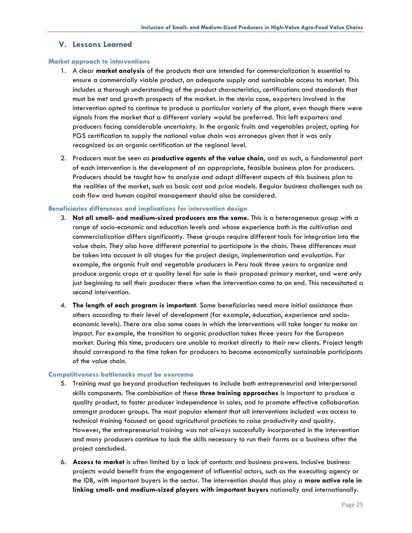## **V. Lessons Learned**

#### **Market approach to interventions**

- 1. A clear **market analysis** of the products that are intended for commercialization is essential to ensure a commercially viable product, an adequate supply and sustainable access to market. This includes a thorough understanding of the product characteristics, certifications and standards that must be met and growth prospects of the market. In the stevia case, exporters involved in the intervention opted to continue to produce a particular variety of the plant, even though there were signals from the market that a different variety would be preferred. This left exporters and producers facing considerable uncertainty. In the organic fruits and vegetables project, opting for PGS certification to supply the national value chain was erroneous given that it was only recognized as an organic certification at the regional level.
- 2. Producers must be seen as **productive agents of the value chain**, and as such, a fundamental part of each intervention is the development of an appropriate, feasible business plan for producers. Producers should be taught how to analyze and adapt different aspects of this business plan to the realities of the market, such as basic cost and price models. Regular business challenges such as cash flow and human capital management should also be considered.

#### **Beneficiaries differences and implications for intervention design**

- 3. **Not all small- and medium-sized producers are the same.** This is a heterogeneous group with a range of socio-economic and education levels and whose experience both in the cultivation and commercialization differs significantly. These groups require different tools for integration into the value chain. They also have different potential to participate in the chain. These differences must be taken into account in all stages for the project design, implementation and evaluation. For example, the organic fruit and vegetable producers in Peru took three years to organize and produce organic crops at a quality level for sale in their proposed primary market, and were only just beginning to sell their producer there when the intervention came to an end. This necessitated a second intervention.
- 4. **The length of each program is important**. Some beneficiaries need more initial assistance than others according to their level of development (for example, education, experience and socioeconomic levels). There are also some cases in which the interventions will take longer to make an impact. For example, the transition to organic production takes three years for the European market. During this time, producers are unable to market directly to their new clients. Project length should correspond to the time taken for producers to become economically sustainable participants of the value chain.

#### **Competitiveness bottlenecks must be overcome**

- 5. Training must go beyond production techniques to include both entrepreneurial and interpersonal skills components. The combination of these **three training approaches** is important to produce a quality product, to foster producer independence in sales, and to promote effective collaboration amongst producer groups. The most popular element that all interventions included was access to technical training focused on good agricultural practices to raise productivity and quality. However, the entrepreneurial training was not always successfully incorporated in the intervention and many producers continue to lack the skills necessary to run their farms as a business after the project concluded.
- 6. **Access to market** is often limited by a lack of contacts and business prowess. Inclusive business projects would benefit from the engagement of influential actors, such as the executing agency or the IDB, with important buyers in the sector. The intervention should thus play a **more active role in linking small- and medium-sized players with important buyers** nationally and internationally.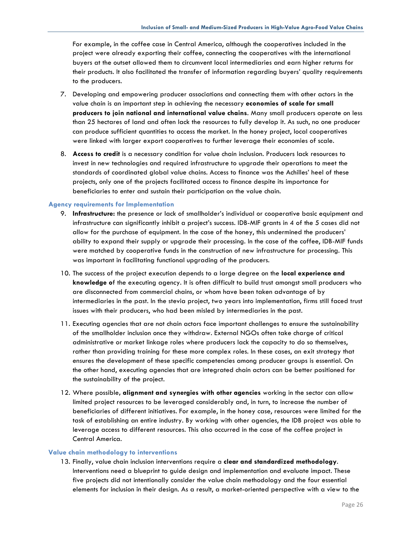For example, in the coffee case in Central America, although the cooperatives included in the project were already exporting their coffee, connecting the cooperatives with the international buyers at the outset allowed them to circumvent local intermediaries and earn higher returns for their products. It also facilitated the transfer of information regarding buyers' quality requirements to the producers.

- 7. Developing and empowering producer associations and connecting them with other actors in the value chain is an important step in achieving the necessary **economies of scale for small producers to join national and international value chains**. Many small producers operate on less than 25 hectares of land and often lack the resources to fully develop it. As such, no one producer can produce sufficient quantities to access the market. In the honey project, local cooperatives were linked with larger export cooperatives to further leverage their economies of scale.
- 8. **Access to credit** is a necessary condition for value chain inclusion. Producers lack resources to invest in new technologies and required infrastructure to upgrade their operations to meet the standards of coordinated global value chains. Access to finance was the Achilles' heel of these projects, only one of the projects facilitated access to finance despite its importance for beneficiaries to enter and sustain their participation on the value chain.

#### **Agency requirements for Implementation**

- 9. **Infrastructure:** the presence or lack of smallholder's individual or cooperative basic equipment and infrastructure can significantly inhibit a project's success. IDB-MIF grants in 4 of the 5 cases did not allow for the purchase of equipment. In the case of the honey, this undermined the producers' ability to expand their supply or upgrade their processing. In the case of the coffee, IDB-MIF funds were matched by cooperative funds in the construction of new infrastructure for processing. This was important in facilitating functional upgrading of the producers.
- 10. The success of the project execution depends to a large degree on the **local experience and knowledge o**f the executing agency. It is often difficult to build trust amongst small producers who are disconnected from commercial chains, or whom have been taken advantage of by intermediaries in the past. In the stevia project, two years into implementation, firms still faced trust issues with their producers, who had been misled by intermediaries in the past.
- 11. Executing agencies that are not chain actors face important challenges to ensure the sustainability of the smallholder inclusion once they withdraw. External NGOs often take charge of critical administrative or market linkage roles where producers lack the capacity to do so themselves, rather than providing training for these more complex roles. In these cases, an exit strategy that ensures the development of these specific competencies among producer groups is essential. On the other hand, executing agencies that are integrated chain actors can be better positioned for the sustainability of the project.
- 12. Where possible**, alignment and synergies with other agencies** working in the sector can allow limited project resources to be leveraged considerably and, in turn, to increase the number of beneficiaries of different initiatives. For example, in the honey case, resources were limited for the task of establishing an entire industry. By working with other agencies, the IDB project was able to leverage access to different resources. This also occurred in the case of the coffee project in Central America.

#### **Value chain methodology to interventions**

13. Finally, value chain inclusion interventions require a **clear and standardized methodology**. Interventions need a blueprint to guide design and implementation and evaluate impact. These five projects did not intentionally consider the value chain methodology and the four essential elements for inclusion in their design. As a result, a market-oriented perspective with a view to the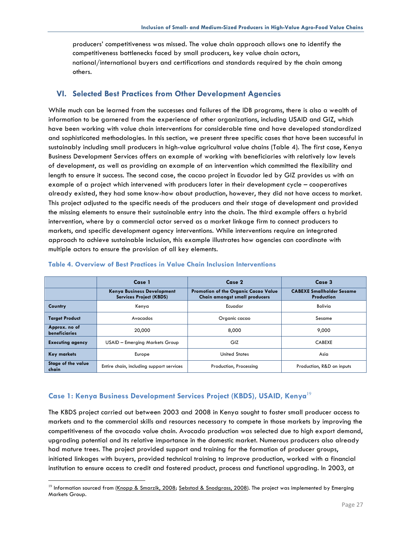producers' competitiveness was missed. The value chain approach allows one to identify the competitiveness bottlenecks faced by small producers, key value chain actors, national/international buyers and certifications and standards required by the chain among others.

## **VI. Selected Best Practices from Other Development Agencies**

While much can be learned from the successes and failures of the IDB programs, there is also a wealth of information to be garnered from the experience of other organizations, including USAID and GIZ, which have been working with value chain interventions for considerable time and have developed standardized and sophisticated methodologies. In this section, we present three specific cases that have been successful in sustainably including small producers in high-value agricultural value chains (Table 4). The first case, Kenya Business Development Services offers an example of working with beneficiaries with relatively low levels of development, as well as providing an example of an intervention which committed the flexibility and length to ensure it success. The second case, the cacao project in Ecuador led by GIZ provides us with an example of a project which intervened with producers later in their development cycle – cooperatives already existed, they had some know-how about production, however, they did not have access to market. This project adjusted to the specific needs of the producers and their stage of development and provided the missing elements to ensure their sustainable entry into the chain. The third example offers a hybrid intervention, where by a commercial actor served as a market linkage firm to connect producers to markets, and specific development agency interventions. While interventions require an integrated approach to achieve sustainable inclusion, this example illustrates how agencies can coordinate with multiple actors to ensure the provision of all key elements.

|                                       | Case 1                                                              | Case 2                                                                       | Case 3                                                |
|---------------------------------------|---------------------------------------------------------------------|------------------------------------------------------------------------------|-------------------------------------------------------|
|                                       | <b>Kenya Business Development</b><br><b>Services Project (KBDS)</b> | <b>Promotion of the Organic Cacao Value</b><br>Chain amongst small producers | <b>CABEXE Smallholder Sesame</b><br><b>Production</b> |
| Country                               | Kenya                                                               | Ecuador                                                                      | Bolivia                                               |
| <b>Target Product</b>                 | Avocados                                                            | Organic cacao                                                                | Sesame                                                |
| Approx. no of<br><b>beneficiaries</b> | 20,000                                                              | 8.000                                                                        | 9.000                                                 |
| <b>Executing agency</b>               | USAID - Emerging Markets Group                                      | GIZ                                                                          | <b>CABEXE</b>                                         |
| <b>Key markets</b>                    | Europe                                                              | <b>United States</b>                                                         | Asia                                                  |
| Stage of the value<br>chain           | Entire chain, including support services                            | Production, Processing                                                       | Production, R&D on inputs                             |

#### **Table 4. Overview of Best Practices in Value Chain Inclusion Interventions**

## **Case 1: Kenya Business Development Services Project (KBDS), USAID, Kenya**<sup>19</sup>

 $\overline{a}$ 

The KBDS project carried out between 2003 and 2008 in Kenya sought to foster small producer access to markets and to the commercial skills and resources necessary to compete in those markets by improving the competitiveness of the avocado value chain. Avocado production was selected due to high export demand, upgrading potential and its relative importance in the domestic market. Numerous producers also already had mature trees. The project provided support and training for the formation of producer groups, initiated linkages with buyers, provided technical training to improve production, worked with a financial institution to ensure access to credit and fostered product, process and functional upgrading. In 2003, at

 $19$  Information sourced from (Knopp & Smarzik, 2008; Sebstad & Snodgrass, 2008). The project was implemented by Emerging Markets Group.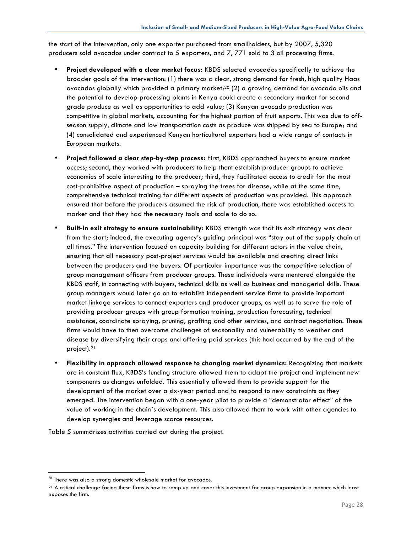the start of the intervention, only one exporter purchased from smallholders, but by 2007, 5,320 producers sold avocados under contract to 5 exporters, and 7, 771 sold to 3 oil processing firms.

- **Project developed with a clear market focus:** KBDS selected avocados specifically to achieve the broader goals of the intervention: (1) there was a clear, strong demand for fresh, high quality Haas avocados globally which provided a primary market;<sup>20</sup> (2) a growing demand for avocado oils and the potential to develop processing plants in Kenya could create a secondary market for second grade produce as well as opportunities to add value; (3) Kenyan avocado production was competitive in global markets, accounting for the highest portion of fruit exports. This was due to offseason supply, climate and low transportation costs as produce was shipped by sea to Europe; and (4) consolidated and experienced Kenyan horticultural exporters had a wide range of contacts in European markets.
- **Project followed a clear step-by-step process:** First, KBDS approached buyers to ensure market access; second, they worked with producers to help them establish producer groups to achieve economies of scale interesting to the producer; third, they facilitated access to credit for the most cost-prohibitive aspect of production – spraying the trees for disease, while at the same time, comprehensive technical training for different aspects of production was provided. This approach ensured that before the producers assumed the risk of production, there was established access to market and that they had the necessary tools and scale to do so.
- **Built-in exit strategy to ensure sustainability:** KBDS strength was that its exit strategy was clear from the start; indeed, the executing agency's guiding principal was "stay out of the supply chain at all times." The intervention focused on capacity building for different actors in the value chain, ensuring that all necessary post-project services would be available and creating direct links between the producers and the buyers. Of particular importance was the competitive selection of group management officers from producer groups. These individuals were mentored alongside the KBDS staff, in connecting with buyers, technical skills as well as business and managerial skills. These group managers would later go on to establish independent service firms to provide important market linkage services to connect exporters and producer groups, as well as to serve the role of providing producer groups with group formation training, production forecasting, technical assistance, coordinate spraying, pruning, grafting and other services, and contract negotiation. These firms would have to then overcome challenges of seasonality and vulnerability to weather and disease by diversifying their crops and offering paid services (this had occurred by the end of the project).21
- **Flexibility in approach allowed response to changing market dynamics:** Recognizing that markets are in constant flux, KBDS's funding structure allowed them to adapt the project and implement new components as changes unfolded. This essentially allowed them to provide support for the development of the market over a six-year period and to respond to new constraints as they emerged. The intervention began with a one-year pilot to provide a "demonstrator effect" of the value of working in the chain´s development. This also allowed them to work with other agencies to develop synergies and leverage scarce resources.

Table 5 summarizes activities carried out during the project.

 $\overline{a}$ 

 $^{20}$  There was also a strong domestic wholesale market for avocados.

<sup>&</sup>lt;sup>21</sup> A critical challenge facing these firms is how to ramp up and cover this investment for group expansion in a manner which least exposes the firm.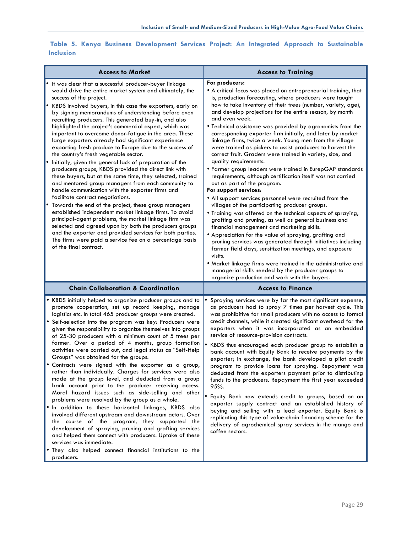| <b>Access to Market</b>                                                                                                                                                                                                                                                                                                                                                                                                                                                                                                                                                                                                                                                                                                                                                                                                                                                                                                                                                                                                                                                                                                                                                                                                                                                                                                            | <b>Access to Training</b>                                                                                                                                                                                                                                                                                                                                                                                                                                                                                                                                                                                                                                                                                                                                                                                                                                                                                                                                                                                                                                                                                                                                                                                                                                                                                                                                                                                                                                                              |
|------------------------------------------------------------------------------------------------------------------------------------------------------------------------------------------------------------------------------------------------------------------------------------------------------------------------------------------------------------------------------------------------------------------------------------------------------------------------------------------------------------------------------------------------------------------------------------------------------------------------------------------------------------------------------------------------------------------------------------------------------------------------------------------------------------------------------------------------------------------------------------------------------------------------------------------------------------------------------------------------------------------------------------------------------------------------------------------------------------------------------------------------------------------------------------------------------------------------------------------------------------------------------------------------------------------------------------|----------------------------------------------------------------------------------------------------------------------------------------------------------------------------------------------------------------------------------------------------------------------------------------------------------------------------------------------------------------------------------------------------------------------------------------------------------------------------------------------------------------------------------------------------------------------------------------------------------------------------------------------------------------------------------------------------------------------------------------------------------------------------------------------------------------------------------------------------------------------------------------------------------------------------------------------------------------------------------------------------------------------------------------------------------------------------------------------------------------------------------------------------------------------------------------------------------------------------------------------------------------------------------------------------------------------------------------------------------------------------------------------------------------------------------------------------------------------------------------|
| It was clear that a successful producer-buyer linkage<br>would drive the entire market system and ultimately, the<br>success of the project.<br>KBDS involved buyers, in this case the exporters, early on<br>by signing memorandums of understanding before even<br>recruiting producers. This generated buy-in, and also<br>highlighted the project's commercial aspect, which was<br>important to overcome donor-fatigue in the area. These<br>large exporters already had significant experience<br>exporting fresh produce to Europe due to the success of<br>the country's fresh vegetable sector.<br>Initially, given the general lack of preparation of the<br>producers groups, KBDS provided the direct link with<br>these buyers, but at the same time, they selected, trained<br>and mentored group managers from each community to<br>handle communication with the exporter firms and<br>facilitate contract negotiations.<br>Towards the end of the project, these group managers<br>٠<br>established independent market linkage firms. To avoid<br>principal-agent problems, the market linkage firm was<br>selected and agreed upon by both the producers groups<br>and the exporter and provided services for both parties.<br>The firms were paid a service fee on a percentage basis<br>of the final contract. | For producers:<br>• A critical focus was placed on entrepreneurial training, that<br>is, production forecasting, where producers were taught<br>how to take inventory of their trees (number, variety, age),<br>and develop projections for the entire season, by month<br>and even week.<br>. Technical assistance was provided by agronomists from the<br>corresponding exporter firm initially, and later by market<br>linkage firms, twice a week. Young men from the village<br>were trained as pickers to assist producers to harvest the<br>correct fruit. Graders were trained in variety, size, and<br>quality requirements.<br>· Farmer group leaders were trained in EurepGAP standards<br>requirements, although certification itself was not carried<br>out as part of the program.<br>For support services:<br>• All support services personnel were recruited from the<br>villages of the participating producer groups.<br>. Training was offered on the technical aspects of spraying,<br>grafting and pruning, as well as general business and<br>financial management and marketing skills.<br>• Appreciation for the value of spraying, grafting and<br>pruning services was generated through initiatives including<br>farmer field days, sensitization meetings, and exposure<br>visits.<br>. Market linkage firms were trained in the administrative and<br>managerial skills needed by the producer groups to<br>organize production and work with the buyers. |
| <b>Chain Collaboration &amp; Coordination</b>                                                                                                                                                                                                                                                                                                                                                                                                                                                                                                                                                                                                                                                                                                                                                                                                                                                                                                                                                                                                                                                                                                                                                                                                                                                                                      | <b>Access to Finance</b>                                                                                                                                                                                                                                                                                                                                                                                                                                                                                                                                                                                                                                                                                                                                                                                                                                                                                                                                                                                                                                                                                                                                                                                                                                                                                                                                                                                                                                                               |
| . KBDS initially helped to organize producer groups and to<br>promote cooperation, set up record keeping, manage<br>logistics etc. In total 465 producer groups were created.<br>· Self-selection into the program was key: Producers were<br>given the responsibility to organize themselves into groups                                                                                                                                                                                                                                                                                                                                                                                                                                                                                                                                                                                                                                                                                                                                                                                                                                                                                                                                                                                                                          | Spraying services were by far the most significant expense,<br>as producers had to spray 7 times per harvest cycle. This<br>was prohibitive for small producers with no access to formal<br>credit channels, while it created significant overhead for the                                                                                                                                                                                                                                                                                                                                                                                                                                                                                                                                                                                                                                                                                                                                                                                                                                                                                                                                                                                                                                                                                                                                                                                                                             |
| of 25-30 producers with a minimum count of 5 trees per<br>farmer. Over a period of 4 months, group formation<br>activities were carried out, and legal status as "Self-Help<br>Groups" was obtained for the groups.<br>Contracts were signed with the exporter as a group,<br>rather than individually. Charges for services were also<br>made at the group level, and deducted from a group<br>bank account prior to the producer receiving access.<br>Moral hazard issues such as side-selling and other<br>problems were resolved by the group as a whole.<br>. In addition to these horizontal linkages, KBDS also<br>involved different upstream and downstream actors. Over<br>the course of the program, they supported the<br>development of spraying, pruning and grafting services<br>and helped them connect with producers. Uptake of these<br>services was immediate.<br>. They also helped connect financial institutions to the                                                                                                                                                                                                                                                                                                                                                                                     | exporters when it was incorporated as an embedded<br>service of resource-provision contracts.<br>KBDS thus encouraged each producer group to establish a<br>bank account with Equity Bank to receive payments by the<br>exporter; in exchange, the bank developed a pilot credit<br>program to provide loans for spraying. Repayment was<br>deducted from the exporters payment prior to distributing<br>funds to the producers. Repayment the first year exceeded<br>95%.<br>· Equity Bank now extends credit to groups, based on an<br>exporter supply contract and an established history of<br>buying and selling with a lead exporter. Equity Bank is<br>replicating this type of value-chain financing scheme for the<br>delivery of agrochemical spray services in the mango and<br>coffee sectors.                                                                                                                                                                                                                                                                                                                                                                                                                                                                                                                                                                                                                                                                             |

**Table 5. Kenya Business Development Services Project: An Integrated Approach to Sustainable Inclusion**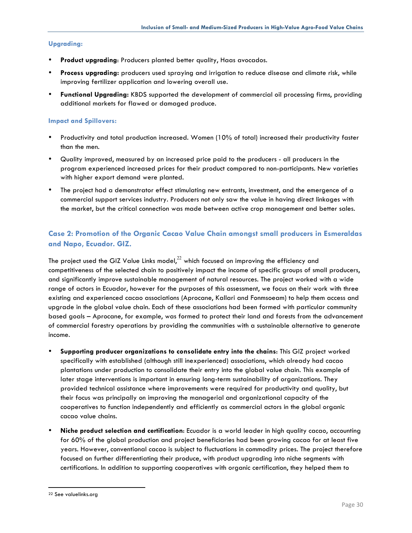#### **Upgrading:**

- **Product upgrading**: Producers planted better quality, Haas avocados.
- **Process upgrading:** producers used spraying and irrigation to reduce disease and climate risk, while improving fertilizer application and lowering overall use.
- **Functional Upgrading:** KBDS supported the development of commercial oil processing firms, providing additional markets for flawed or damaged produce.

#### **Impact and Spillovers:**

- Productivity and total production increased. Women (10% of total) increased their productivity faster than the men.
- Quality improved, measured by an increased price paid to the producers all producers in the program experienced increased prices for their product compared to non-participants. New varieties with higher export demand were planted.
- The project had a demonstrator effect stimulating new entrants, investment, and the emergence of a commercial support services industry. Producers not only saw the value in having direct linkages with the market, but the critical connection was made between active crop management and better sales.

## **Case 2: Promotion of the Organic Cacao Value Chain amongst small producers in Esmeraldas and Napo, Ecuador. GIZ.**

The project used the GIZ Value Links model, $^{22}$  which focused on improving the efficiency and competitiveness of the selected chain to positively impact the income of specific groups of small producers, and significantly improve sustainable management of natural resources. The project worked with a wide range of actors in Ecuador, however for the purposes of this assessment, we focus on their work with three existing and experienced cacao associations (Aprocane, Kallari and Fonmsoeam) to help them access and upgrade in the global value chain. Each of these associations had been formed with particular community based goals – Aprocane, for example, was formed to protect their land and forests from the advancement of commercial forestry operations by providing the communities with a sustainable alternative to generate income.

- **Supporting producer organizations to consolidate entry into the chains**: This GIZ project worked specifically with established (although still inexperienced) associations, which already had cacao plantations under production to consolidate their entry into the global value chain. This example of later stage interventions is important in ensuring long-term sustainability of organizations. They provided technical assistance where improvements were required for productivity and quality, but their focus was principally on improving the managerial and organizational capacity of the cooperatives to function independently and efficiently as commercial actors in the global organic cacao value chains.
- **Niche product selection and certification**: Ecuador is a world leader in high quality cacao, accounting for 60% of the global production and project beneficiaries had been growing cacao for at least five years. However, conventional cacao is subject to fluctuations in commodity prices. The project therefore focused on further differentiating their produce, with product upgrading into niche segments with certifications. In addition to supporting cooperatives with organic certification, they helped them to

 <sup>22</sup> See valuelinks.org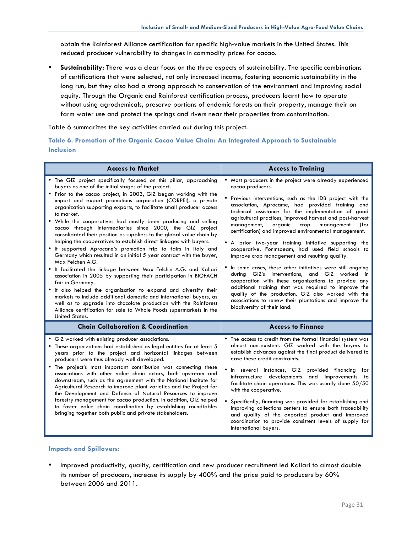obtain the Rainforest Alliance certification for specific high-value markets in the United States. This reduced producer vulnerability to changes in commodity prices for cacao.

• **Sustainability:** There was a clear focus on the three aspects of sustainability. The specific combinations of certifications that were selected, not only increased income, fostering economic sustainability in the long run, but they also had a strong approach to conservation of the environment and improving social equity. Through the Organic and Rainforest certification process, producers learnt how to operate without using agrochemicals, preserve portions of endemic forests on their property, manage their on farm water use and protect the springs and rivers near their properties from contamination.

Table 6 summarizes the key activities carried out during this project.

## **Table 6. Promotion of the Organic Cacao Value Chain: An Integrated Approach to Sustainable Inclusion**

| <b>Access to Market</b>                                                                                                                                                                                                                                                                                                                                                                                                                                                                                                                                                                                                                                                                                                                                                                                                                                                                                                                                                                                                                                                                                                                                                                                                                                            | <b>Access to Training</b>                                                                                                                                                                                                                                                                                                                                                                                                                                                                                                                                                                                                                                                                                                                                                                                                                                                                                                                                                           |
|--------------------------------------------------------------------------------------------------------------------------------------------------------------------------------------------------------------------------------------------------------------------------------------------------------------------------------------------------------------------------------------------------------------------------------------------------------------------------------------------------------------------------------------------------------------------------------------------------------------------------------------------------------------------------------------------------------------------------------------------------------------------------------------------------------------------------------------------------------------------------------------------------------------------------------------------------------------------------------------------------------------------------------------------------------------------------------------------------------------------------------------------------------------------------------------------------------------------------------------------------------------------|-------------------------------------------------------------------------------------------------------------------------------------------------------------------------------------------------------------------------------------------------------------------------------------------------------------------------------------------------------------------------------------------------------------------------------------------------------------------------------------------------------------------------------------------------------------------------------------------------------------------------------------------------------------------------------------------------------------------------------------------------------------------------------------------------------------------------------------------------------------------------------------------------------------------------------------------------------------------------------------|
| • The GIZ project specifically focused on this pillar, approaching<br>buyers as one of the initial stages of the project.<br>• Prior to the cacao project, in 2003, GIZ began working with the<br>import and export promotions corporation (CORPEI), a private<br>organization supporting exports, to facilitate small producer access<br>to market.<br>• While the cooperatives had mostly been producing and selling<br>cacao through intermediaries since 2000, the GIZ project<br>consolidated their position as suppliers to the global value chain by<br>helping the cooperatives to establish direct linkages with buyers.<br>• It supported Aprocane's promotion trip to fairs in Italy and<br>Germany which resulted in an initial 5 year contract with the buyer,<br>Max Felchen A.G.<br>• It facilitated the linkage between Max Felchin A.G. and Kallari<br>association in 2005 by supporting their participation in BIOFACH<br>fair in Germany.<br>• It also helped the organization to expand and diversify their<br>markets to include additional domestic and international buyers, as<br>well as to upgrade into chocolate production with the Rainforest<br>Alliance certification for sale to Whole Foods supermarkets in the<br>United States. | • Most producers in the project were already experienced<br>cacao producers.<br>• Previous interventions, such as the IDB project with the<br>association, Aprocame, had provided training and<br>technical assistance for the implementation of good<br>agricultural practices, improved harvest and post-harvest<br>management,<br>organic<br>crop<br>management<br>(for<br>certification) and improved environmental management.<br>• A prior two-year training initiative supporting the<br>cooperative, Fonmsoeam, had used field schools to<br>improve crop management and resulting quality.<br>• In some cases, these other initiatives were still ongoing<br>during GIZ's interventions, and GIZ worked in<br>cooperation with these organizations to provide any<br>additional training that was required to improve the<br>quality of the production. GIZ also worked with the<br>associations to renew their plantations and improve the<br>biodiversity of their land. |
| <b>Chain Collaboration &amp; Coordination</b>                                                                                                                                                                                                                                                                                                                                                                                                                                                                                                                                                                                                                                                                                                                                                                                                                                                                                                                                                                                                                                                                                                                                                                                                                      | <b>Access to Finance</b>                                                                                                                                                                                                                                                                                                                                                                                                                                                                                                                                                                                                                                                                                                                                                                                                                                                                                                                                                            |
| • GIZ worked with existing producer associations.<br>• These organizations had established as legal entities for at least 5<br>years prior to the project and horizontal linkages between<br>producers were thus already well developed.<br>• The project's most important contribution was connecting these<br>associations with other value chain actors, both upstream and<br>downstream, such as the agreement with the National Institute for<br>Agricultural Research to improve plant varieties and the Project for<br>the Development and Defense of Natural Resources to improve<br>forestry management for cacao production. In addition, GIZ helped<br>to foster value chain coordination by establishing roundtables<br>bringing together both public and private stakeholders.                                                                                                                                                                                                                                                                                                                                                                                                                                                                        | • The access to credit from the formal financial system was<br>almost non-existent. GIZ worked with the buyers to<br>establish advances against the final product delivered to<br>ease these credit constraints.<br>• In several instances, GIZ provided financing for<br>infrastructure developments and improvements to<br>facilitate chain operations. This was usually done 50/50<br>with the cooperative.<br>• Specifically, financing was provided for establishing and<br>improving collections centers to ensure both traceability<br>and quality of the exported product and improved<br>coordination to provide consistent levels of supply for<br>international buyers.                                                                                                                                                                                                                                                                                                  |

#### **Impacts and Spillovers:**

• Improved productivity, quality, certification and new producer recruitment led Kallari to almost double its number of producers, increase its supply by 400% and the price paid to producers by 60% between 2006 and 2011.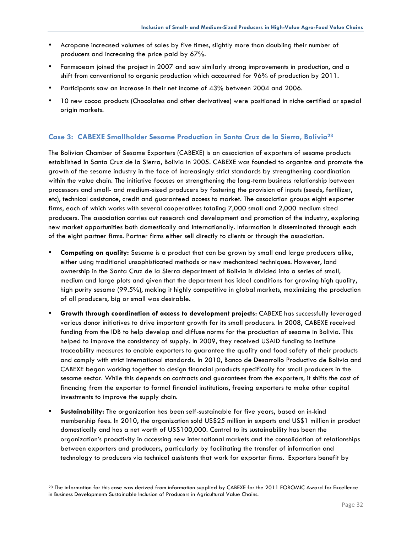- Acropane increased volumes of sales by five times, slightly more than doubling their number of producers and increasing the price paid by 67%.
- Fonmsoeam joined the project in 2007 and saw similarly strong improvements in production, and a shift from conventional to organic production which accounted for 96% of production by 2011.
- Participants saw an increase in their net income of 43% between 2004 and 2006.
- 10 new cocoa products (Chocolates and other derivatives) were positioned in niche certified or special origin markets.

## **Case 3: CABEXE Smallholder Sesame Production in Santa Cruz de la Sierra, Bolivia23**

The Bolivian Chamber of Sesame Exporters (CABEXE) is an association of exporters of sesame products established in Santa Cruz de la Sierra, Bolivia in 2005. CABEXE was founded to organize and promote the growth of the sesame industry in the face of increasingly strict standards by strengthening coordination within the value chain. The initiative focuses on strengthening the long-term business relationship between processors and small- and medium-sized producers by fostering the provision of inputs (seeds, fertilizer, etc), technical assistance, credit and guaranteed access to market. The association groups eight exporter firms, each of which works with several cooperatives totaling 7,000 small and 2,000 medium sized producers. The association carries out research and development and promotion of the industry, exploring new market opportunities both domestically and internationally. Information is disseminated through each of the eight partner firms. Partner firms either sell directly to clients or through the association.

- **Competing on quality:** Sesame is a product that can be grown by small and large producers alike, either using traditional unsophisticated methods or new mechanized techniques. However, land ownership in the Santa Cruz de la Sierra department of Bolivia is divided into a series of small, medium and large plots and given that the department has ideal conditions for growing high quality, high purity sesame (99.5%), making it highly competitive in global markets, maximizing the production of all producers, big or small was desirable.
- **Growth through coordination of access to development projects**: CABEXE has successfully leveraged various donor initiatives to drive important growth for its small producers. In 2008, CABEXE received funding from the IDB to help develop and diffuse norms for the production of sesame in Bolivia. This helped to improve the consistency of supply. In 2009, they received USAID funding to institute traceability measures to enable exporters to guarantee the quality and food safety of their products and comply with strict international standards. In 2010, Banco de Desarrollo Productivo de Bolivia and CABEXE began working together to design financial products specifically for small producers in the sesame sector. While this depends on contracts and guarantees from the exporters, it shifts the cost of financing from the exporter to formal financial institutions, freeing exporters to make other capital investments to improve the supply chain.
- **Sustainability:** The organization has been self-sustainable for five years, based on in-kind membership fees. In 2010, the organization sold US\$25 million in exports and US\$1 million in product domestically and has a net worth of US\$100,000. Central to its sustainability has been the organization's proactivity in accessing new international markets and the consolidation of relationships between exporters and producers, particularly by facilitating the transfer of information and technology to producers via technical assistants that work for exporter firms. Exporters benefit by

<sup>&</sup>lt;sup>23</sup> The information for this case was derived from information supplied by CABEXE for the 2011 FOROMIC Award for Excellence in Business Development: Sustainable Inclusion of Producers in Agricultural Value Chains.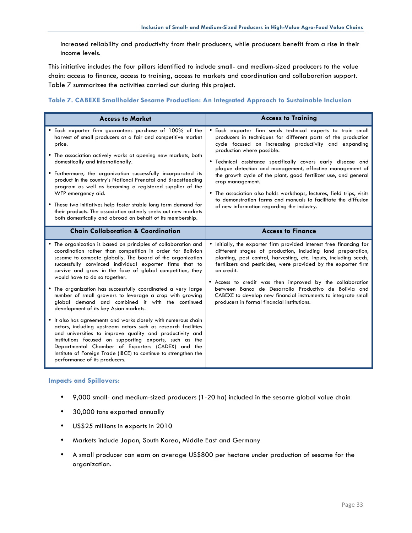increased reliability and productivity from their producers, while producers benefit from a rise in their income levels.

This initiative includes the four pillars identified to include small- and medium-sized producers to the value chain: access to finance, access to training, access to markets and coordination and collaboration support. Table 7 summarizes the activities carried out during this project.

#### **Table 7. CABEXE Smallholder Sesame Production: An Integrated Approach to Sustainable Inclusion**

| <b>Access to Market</b>                                                                                                                                                                                                                                                                                                                                                                                                                                                                                                                                                                                                                                                                                                                                                                                                                                                                                                                                                                     | <b>Access to Training</b>                                                                                                                                                                                                                                                                                                                                                                                                                                                                                                                                                                                                        |  |
|---------------------------------------------------------------------------------------------------------------------------------------------------------------------------------------------------------------------------------------------------------------------------------------------------------------------------------------------------------------------------------------------------------------------------------------------------------------------------------------------------------------------------------------------------------------------------------------------------------------------------------------------------------------------------------------------------------------------------------------------------------------------------------------------------------------------------------------------------------------------------------------------------------------------------------------------------------------------------------------------|----------------------------------------------------------------------------------------------------------------------------------------------------------------------------------------------------------------------------------------------------------------------------------------------------------------------------------------------------------------------------------------------------------------------------------------------------------------------------------------------------------------------------------------------------------------------------------------------------------------------------------|--|
| • Each exporter firm guarantees purchase of 100% of the<br>harvest of small producers at a fair and competitive market<br>price.<br>• The association actively works at opening new markets, both<br>domestically and internationally.<br>• Furthermore, the organization successfully incorporated its<br>product in the country's National Prenatal and Breastfeeding<br>program as well as becoming a registered supplier of the<br>WFP emergency aid.<br>• These two initiatives help foster stable long term demand for<br>their products. The association actively seeks out new markets<br>both domestically and abroad on behalf of its membership.                                                                                                                                                                                                                                                                                                                                 | · Each exporter firm sends technical experts to train small<br>producers in techniques for different parts of the production<br>cycle focused on increasing productivity and expanding<br>production where possible.<br>. Technical assistance specifically covers early disease and<br>plague detection and management, effective management of<br>the growth cycle of the plant, good fertilizer use, and general<br>crop management.<br>• The association also holds workshops, lectures, field trips, visits<br>to demonstration farms and manuals to facilitate the diffusion<br>of new information regarding the industry. |  |
| <b>Chain Collaboration &amp; Coordination</b>                                                                                                                                                                                                                                                                                                                                                                                                                                                                                                                                                                                                                                                                                                                                                                                                                                                                                                                                               | <b>Access to Finance</b>                                                                                                                                                                                                                                                                                                                                                                                                                                                                                                                                                                                                         |  |
| • The organization is based on principles of collaboration and<br>coordination rather than competition in order for Bolivian<br>sesame to compete globally. The board of the organization<br>successfully convinced individual exporter firms that to<br>survive and grow in the face of global competition, they<br>would have to do so together.<br>The organization has successfully coordinated a very large<br>number of small growers to leverage a crop with growing<br>global demand and combined it with the continued<br>development of its key Asian markets.<br>• It also has agreements and works closely with numerous chain<br>actors, including upstream actors such as research facilities<br>and universities to improve quality and productivity and<br>institutions focused on supporting exports, such as the<br>Departmental Chamber of Exporters (CADEX) and the<br>Institute of Foreign Trade (IBCE) to continue to strengthen the<br>performance of its producers. | • Initially, the exporter firm provided interest free financing for<br>different stages of production, including land preparation,<br>planting, pest control, harvesting, etc. Inputs, including seeds,<br>fertilizers and pesticides, were provided by the exporter firm<br>on credit.<br>• Access to credit was then improved by the collaboration<br>between Banco de Desarrollo Productivo de Bolivia and<br>CABEXE to develop new financial instruments to integrate small<br>producers in formal financial institutions.                                                                                                   |  |

#### **Impacts and Spillovers:**

- 9,000 small- and medium-sized producers (1-20 ha) included in the sesame global value chain
- 30,000 tons exported annually
- US\$25 millions in exports in 2010
- Markets include Japan, South Korea, Middle East and Germany
- A small producer can earn on average US\$800 per hectare under production of sesame for the organization.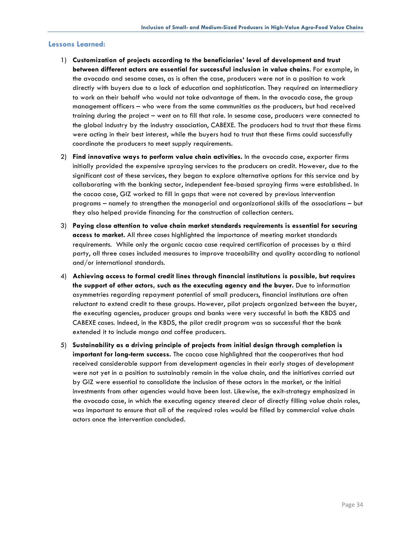#### **Lessons Learned:**

- 1) **Customization of projects according to the beneficiaries' level of development and trust between different actors are essential for successful inclusion in value chains**. For example, in the avocado and sesame cases, as is often the case, producers were not in a position to work directly with buyers due to a lack of education and sophistication. They required an intermediary to work on their behalf who would not take advantage of them. In the avocado case, the group management officers – who were from the same communities as the producers, but had received training during the project – went on to fill that role. In sesame case, producers were connected to the global industry by the industry association, CABEXE. The producers had to trust that these firms were acting in their best interest, while the buyers had to trust that these firms could successfully coordinate the producers to meet supply requirements.
- 2) **Find innovative ways to perform value chain activities.** In the avocado case, exporter firms initially provided the expensive spraying services to the producers on credit. However, due to the significant cost of these services, they began to explore alternative options for this service and by collaborating with the banking sector, independent fee-based spraying firms were established. In the cacao case, GIZ worked to fill in gaps that were not covered by previous intervention programs – namely to strengthen the managerial and organizational skills of the associations – but they also helped provide financing for the construction of collection centers.
- 3) **Paying close attention to value chain market standards requirements is essential for securing access to market.** All three cases highlighted the importance of meeting market standards requirements. While only the organic cacao case required certification of processes by a third party, all three cases included measures to improve traceability and quality according to national and/or international standards.
- 4) **Achieving access to formal credit lines through financial institutions is possible, but requires the support of other actors, such as the executing agency and the buyer.** Due to information asymmetries regarding repayment potential of small producers, financial institutions are often reluctant to extend credit to these groups. However, pilot projects organized between the buyer, the executing agencies, producer groups and banks were very successful in both the KBDS and CABEXE cases. Indeed, in the KBDS, the pilot credit program was so successful that the bank extended it to include mango and coffee producers.
- 5) **Sustainability as a driving principle of projects from initial design through completion is important for long-term success.** The cacao case highlighted that the cooperatives that had received considerable support from development agencies in their early stages of development were not yet in a position to sustainably remain in the value chain, and the initiatives carried out by GIZ were essential to consolidate the inclusion of these actors in the market, or the initial investments from other agencies would have been lost. Likewise, the exit-strategy emphasized in the avocado case, in which the executing agency steered clear of directly filling value chain roles, was important to ensure that all of the required roles would be filled by commercial value chain actors once the intervention concluded.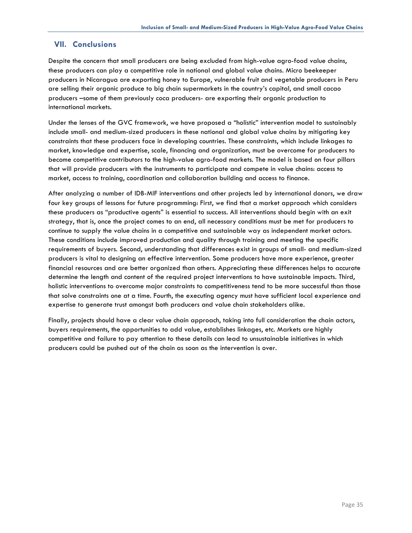## **VII. Conclusions**

Despite the concern that small producers are being excluded from high-value agro-food value chains, these producers can play a competitive role in national and global value chains. Micro beekeeper producers in Nicaragua are exporting honey to Europe, vulnerable fruit and vegetable producers in Peru are selling their organic produce to big chain supermarkets in the country's capital, and small cacao producers –some of them previously coca producers- are exporting their organic production to international markets.

Under the lenses of the GVC framework, we have proposed a "holistic" intervention model to sustainably include small- and medium-sized producers in these national and global value chains by mitigating key constraints that these producers face in developing countries. These constraints, which include linkages to market, knowledge and expertise, scale, financing and organization, must be overcome for producers to become competitive contributors to the high-value agro-food markets. The model is based on four pillars that will provide producers with the instruments to participate and compete in value chains: access to market, access to training, coordination and collaboration building and access to finance.

After analyzing a number of IDB-MIF interventions and other projects led by international donors, we draw four key groups of lessons for future programming: First, we find that a market approach which considers these producers as "productive agents" is essential to success. All interventions should begin with an exit strategy, that is, once the project comes to an end, all necessary conditions must be met for producers to continue to supply the value chains in a competitive and sustainable way as independent market actors. These conditions include improved production and quality through training and meeting the specific requirements of buyers. Second, understanding that differences exist in groups of small- and medium-sized producers is vital to designing an effective intervention. Some producers have more experience, greater financial resources and are better organized than others. Appreciating these differences helps to accurate determine the length and content of the required project interventions to have sustainable impacts. Third, holistic interventions to overcome major constraints to competitiveness tend to be more successful than those that solve constraints one at a time. Fourth, the executing agency must have sufficient local experience and expertise to generate trust amongst both producers and value chain stakeholders alike.

Finally, projects should have a clear value chain approach, taking into full consideration the chain actors, buyers requirements, the opportunities to add value, establishes linkages, etc. Markets are highly competitive and failure to pay attention to these details can lead to unsustainable initiatives in which producers could be pushed out of the chain as soon as the intervention is over.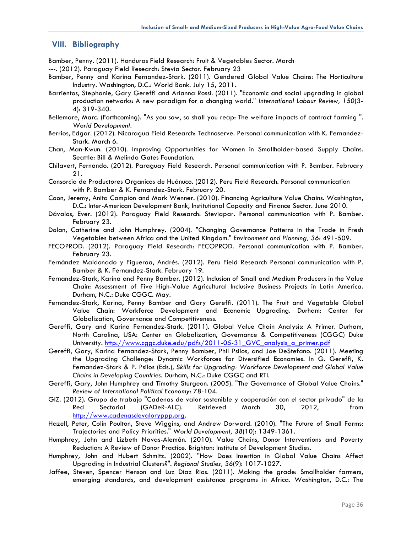## **VIII. Bibliography**

Bamber, Penny. (2011). Honduras Field Research: Fruit & Vegetables Sector. March

- ---. (2012). Paraguay Field Research: Stevia Sector. February 23
- Bamber, Penny and Karina Fernandez-Stark. (2011). Gendered Global Value Chains: The Horticulture Industry. Washington, D.C.: World Bank. July 15, 2011.
- Barrientos, Stephanie, Gary Gereffi and Arianna Rossi. (2011). "Economic and social upgrading in global production networks: A new paradigm for a changing world." *International Labour Review, 150*(3- 4): 319-340.
- Bellemare, Marc. (Forthcoming). "As you sow, so shall you reap: The welfare impacts of contract farming ". *World Development*.
- Berrios, Edgar. (2012). Nicaragua Field Research: Technoserve. Personal communication with K. Fernandez-Stark. March 6.
- Chan, Man-Kwun. (2010). Improving Opportunities for Women in Smallholder-based Supply Chains. Seattle: Bill & Melinda Gates Foundation.
- Chilavert, Fernando. (2012). Paraguay Field Research. Personal communication with P. Bamber. February 21.
- Consorcio de Productores Organicos de Huánuco. (2012). Peru Field Research. Personal communication with P. Bamber & K. Fernandez-Stark. February 20.
- Coon, Jeremy, Anita Campion and Mark Wenner. (2010). Financing Agriculture Value Chains. Washington, D.C.: Inter-American Development Bank, Institutional Capacity and Finance Sector. June 2010.
- Dávalos, Ever. (2012). Paraguay Field Research: Steviapar. Personal communication with P. Bamber. February 23.
- Dolan, Catherine and John Humphrey. (2004). "Changing Governance Patterns in the Trade in Fresh Vegetables between Africa and the United Kingdom." *Environment and Planning, 36*: 491-509.
- FECOPROD. (2012). Paraguay Field Research: FECOPROD. Personal communication with P. Bamber. February 23.
- Fernández Maldonado y Figueroa, Andrés. (2012). Peru Field Research Personal communication with P. Bamber & K. Fernandez-Stark. February 19.
- Fernandez-Stark, Karina and Penny Bamber. (2012). Inclusion of Small and Medium Producers in the Value Chain: Assessment of Five High-Value Agricultural Inclusive Business Projects in Latin America. Durham, N.C.: Duke CGGC. May.
- Fernandez-Stark, Karina, Penny Bamber and Gary Gereffi. (2011). The Fruit and Vegetable Global Value Chain: Workforce Development and Economic Upgrading. Durham: Center for Globalization, Governance and Competitiveness.
- Gereffi, Gary and Karina Fernandez-Stark. (2011). Global Value Chain Analysis: A Primer. Durham, North Carolina, USA: Center on Globalization, Governance & Competitiveness (CGGC) Duke University. http://www.cggc.duke.edu/pdfs/2011-05-31\_GVC\_analysis\_a\_primer.pdf
- Gereffi, Gary, Karina Fernandez-Stark, Penny Bamber, Phil Psilos, and Joe DeStefano. (2011). Meeting the Upgrading Challenge: Dynamic Workforces for Diversified Economies. In G. Gereffi, K. Fernandez-Stark & P. Psilos (Eds.), *Skills for Upgrading: Workforce Development and Global Value Chains in Developing Countries*. Durham, N.C.: Duke CGGC and RTI.
- Gereffi, Gary, John Humphrey and Timothy Sturgeon. (2005). "The Governance of Global Value Chains." *Review of International Political Economy*: 78-104.
- GIZ. (2012). Grupo de trabajo "Cadenas de valor sostenible y cooperación con el sector privado" de la Red Sectorial (GADeR-ALC). Retrieved March 30, 2012, from http://www.cadenasdevaloryppp.org.
- Hazell, Peter, Colin Poulton, Steve Wiggins, and Andrew Dorward. (2010). "The Future of Small Farms: Trajectories and Policy Priorities." *World Development, 38*(10): 1349-1361.
- Humphrey, John and Lizbeth Navas-Alemán. (2010). Value Chains, Donor Interventions and Poverty Reduction: A Review of Donor Practice. Brighton: Institute of Development Studies.
- Humphrey, John and Hubert Schmitz. (2002). "How Does Insertion in Global Value Chains Affect Upgrading in Industrial Clusters?". *Regional Studies, 36*(9): 1017-1027.
- Jaffee, Steven, Spencer Henson and Luz Diaz Rios. (2011). Making the grade: Smallholder farmers, emerging standards, and development assistance programs in Africa. Washington, D.C.: The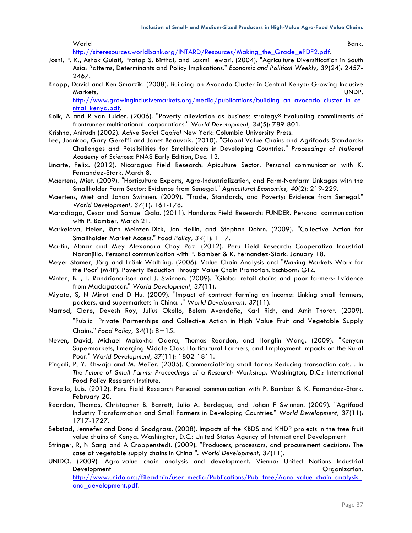```
World Bank.
```
http://siteresources.worldbank.org/INTARD/Resources/Making\_the\_Grade\_ePDF2.pdf.

- Joshi, P. K., Ashok Gulati, Pratap S. Birthal, and Laxmi Tewari. (2004). "Agriculture Diversification in South Asia: Patterns, Determinants and Policy Implications." *Economic and Political Weekly, 39*(24): 2457- 2467.
- Knopp, David and Ken Smarzik. (2008). Building an Avocado Cluster in Central Kenya: Growing Inclusive Markets, UNDP.

http://www.growinginclusivemarkets.org/media/publications/building\_an\_avocado\_cluster\_in\_ce ntral\_kenya.pdf.

- Kolk, A and R van Tulder. (2006). "Poverty alleviation as business strategy? Evaluating commitments of frontrunner multinational corporations." *World Development, 34*(5): 789-801.
- Krishna, Anirudh (2002). *Active Social Capital* New York: Columbia University Press.
- Lee, Joonkoo, Gary Gereffi and Janet Beauvais. (2010). "Global Value Chains and Agrifoods Standards: Challenges and Possibilities for Smallholders in Developing Countries." *Proceedings of National Academy of Sciences*: PNAS Early Edition, Dec. 13.
- Linarte, Felix. (2012). Nicaragua Field Research: Apiculture Sector. Personal communication with K. Fernandez-Stark. March 8.
- Maertens, Miet. (2009). "Horticulture Exports, Agro-Industrialization, and Farm-Nonfarm Linkages with the Smallholder Farm Sector: Evidence from Senegal." *Agricultural Economics, 40*(2): 219-229.
- Maertens, Miet and Johan Swinnen. (2009). "Trade, Standards, and Poverty: Evidence from Senegal." *World Development, 37*(1): 161-178.
- Maradiaga, Cesar and Samuel Galo. (2011). Honduras Field Research: FUNDER. Personal communication with P. Bamber. March 21.
- Markelova, Helen, Ruth Meinzen-Dick, Jon Hellin, and Stephan Dohrn. (2009). "Collective Action for Smallholder Market Access." *Food Policy, 34*(1): 1−7.
- Martin, Abnar and Mey Alexandra Choy Paz. (2012). Peru Field Research: Cooperativa Industrial Naranjillo. Personal communication with P. Bamber & K. Fernandez-Stark. January 18.
- Meyer-Stamer, Jörg and Fränk Waltring. (2006). Value Chain Analysis and "Making Markets Work for the Poor' (M4P): Poverty Reduction Through Value Chain Promotion. Eschborn: GTZ.
- Minten, B. , L. Randrianarison and J. Swinnen. (2009). "Global retail chains and poor farmers: Evidence from Madagascar." *World Development, 37*(11).
- Miyata, S, N Minot and D Hu. (2009). "Impact of contract farming on income: Linking small farmers, packers, and supermarkets in China. ." *World Development, 37*(11).
- Narrod, Clare, Devesh Roy, Julius Okello, Belem Avendaño, Karl Rich, and Amit Thorat. (2009). "Public−Private Partnerships and Collective Action in High Value Fruit and Vegetable Supply Chains." *Food Policy, 34*(1): 8−15.
- Neven, David, Michael Makokha Odera, Thomas Reardon, and Honglin Wang. (2009). "Kenyan Supermarkets, Emerging Middle-Class Horticultural Farmers, and Employment Impacts on the Rural Poor." *World Development, 37*(11): 1802-1811.
- Pingali, P, Y. Khwaja and M. Meijer. (2005). Commercializing small farms: Reducing transaction cots. . In *The Future of Small Farms: Proceedings of a Research Workshop*. Washington, D.C.: International Food Policy Research Institute.
- Ravello, Luis. (2012). Peru Field Research Personal communication with P. Bamber & K. Fernandez-Stark. February 20.
- Reardon, Thomas, Christopher B. Barrett, Julio A. Berdegue, and Johan F Swinnen. (2009). "Agrifood Industry Transformation and Small Farmers in Developing Countries." *World Development, 37*(11): 1717-1727.
- Sebstad, Jennefer and Donald Snodgrass. (2008). Impacts of the KBDS and KHDP projects in the tree fruit value chains of Kenya. Washington, D.C.: United States Agency of International Development
- Stringer, R, N Sang and A Croppenstedt. (2009). "Producers, processors, and procurement decisions: The case of vegetable supply chains in China ". *World Development, 37*(11).
- UNIDO. (2009). Agro-value chain analysis and development. Vienna: United Nations Industrial Development **Development** Contact Contact Contact Contact Contact Contact Contact Contact Contact Contact Contact Contact Contact Contact Contact Contact Contact Contact Contact Contact Contact Contact Contact Contact Cont

http://www.unido.org/fileadmin/user\_media/Publications/Pub\_free/Agro\_value\_chain\_analysis\_ and\_development.pdf.